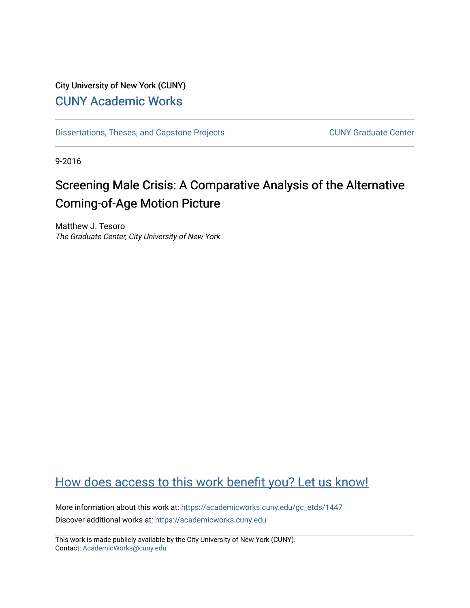## City University of New York (CUNY) [CUNY Academic Works](https://academicworks.cuny.edu/)

[Dissertations, Theses, and Capstone Projects](https://academicworks.cuny.edu/gc_etds) CUNY Graduate Center

9-2016

# Screening Male Crisis: A Comparative Analysis of the Alternative Coming-of-Age Motion Picture

Matthew J. Tesoro The Graduate Center, City University of New York

## [How does access to this work benefit you? Let us know!](http://ols.cuny.edu/academicworks/?ref=https://academicworks.cuny.edu/gc_etds/1447)

More information about this work at: [https://academicworks.cuny.edu/gc\\_etds/1447](https://academicworks.cuny.edu/gc_etds/1447) Discover additional works at: [https://academicworks.cuny.edu](https://academicworks.cuny.edu/?)

This work is made publicly available by the City University of New York (CUNY). Contact: [AcademicWorks@cuny.edu](mailto:AcademicWorks@cuny.edu)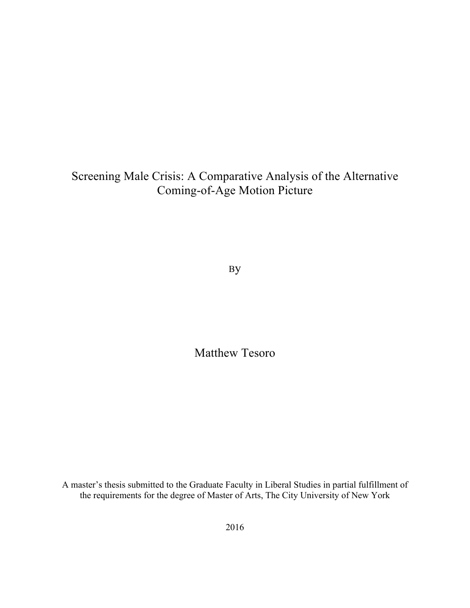## Screening Male Crisis: A Comparative Analysis of the Alternative Coming-of-Age Motion Picture

By

Matthew Tesoro

A master's thesis submitted to the Graduate Faculty in Liberal Studies in partial fulfillment of the requirements for the degree of Master of Arts, The City University of New York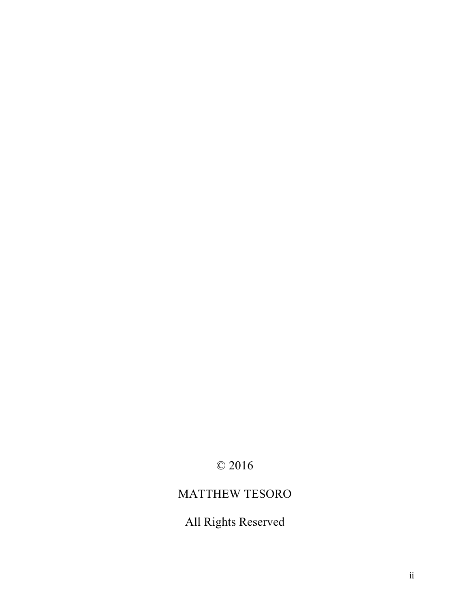# © 2016

# MATTHEW TESORO

All Rights Reserved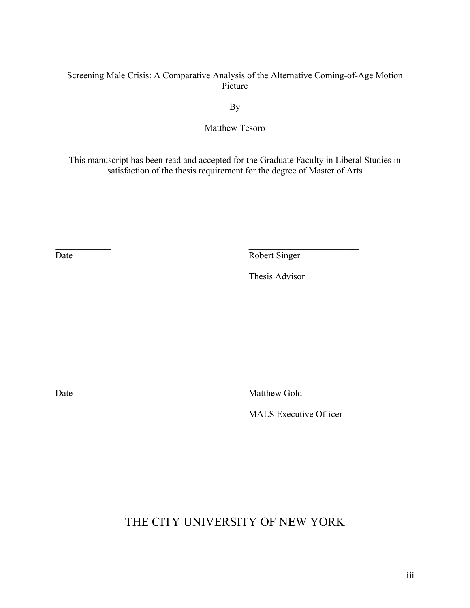### Screening Male Crisis: A Comparative Analysis of the Alternative Coming-of-Age Motion Picture

By

Matthew Tesoro

This manuscript has been read and accepted for the Graduate Faculty in Liberal Studies in satisfaction of the thesis requirement for the degree of Master of Arts

 $\mathcal{L}_\text{max}$  , and the contract of the contract of the contract of the contract of the contract of the contract of

Date Robert Singer

Thesis Advisor

 $\mathcal{L}_\text{max}$  , and the contract of the contract of the contract of the contract of the contract of the contract of

Date Matthew Gold

MALS Executive Officer

THE CITY UNIVERSITY OF NEW YORK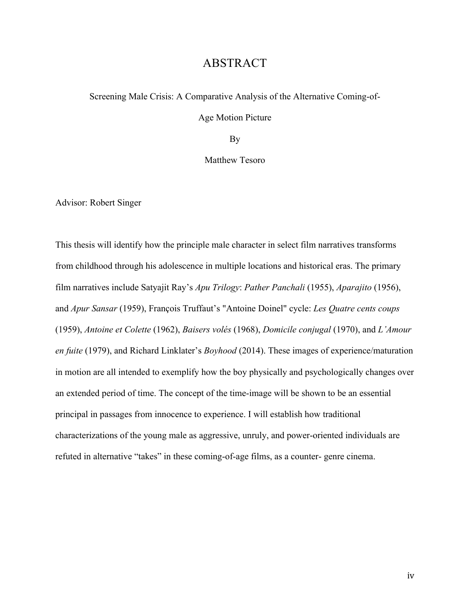### ABSTRACT

### Screening Male Crisis: A Comparative Analysis of the Alternative Coming-of-

Age Motion Picture

By

Matthew Tesoro

Advisor: Robert Singer

This thesis will identify how the principle male character in select film narratives transforms from childhood through his adolescence in multiple locations and historical eras. The primary film narratives include Satyajit Ray's *Apu Trilogy*: *Pather Panchali* (1955), *Aparajito* (1956), and *Apur Sansar* (1959), François Truffaut's "Antoine Doinel" cycle: *Les Quatre cents coups* (1959), *Antoine et Colette* (1962), *Baisers volés* (1968), *Domicile conjugal* (1970), and *L'Amour en fuite* (1979), and Richard Linklater's *Boyhood* (2014). These images of experience/maturation in motion are all intended to exemplify how the boy physically and psychologically changes over an extended period of time. The concept of the time-image will be shown to be an essential principal in passages from innocence to experience. I will establish how traditional characterizations of the young male as aggressive, unruly, and power-oriented individuals are refuted in alternative "takes" in these coming-of-age films, as a counter- genre cinema.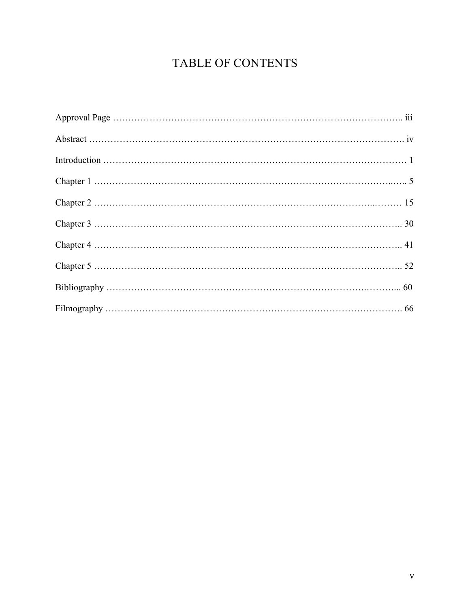## TABLE OF CONTENTS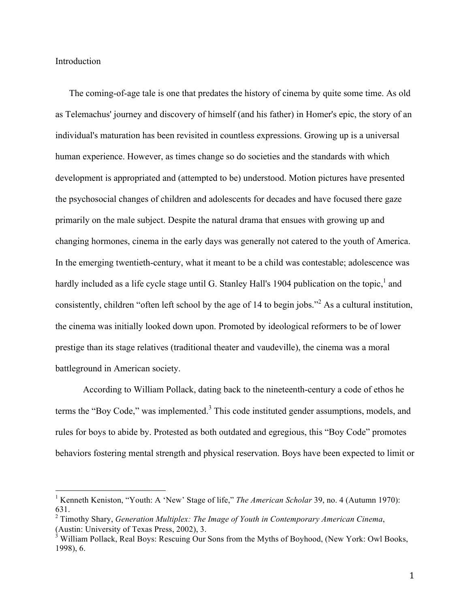Introduction

 The coming-of-age tale is one that predates the history of cinema by quite some time. As old as Telemachus' journey and discovery of himself (and his father) in Homer's epic, the story of an individual's maturation has been revisited in countless expressions. Growing up is a universal human experience. However, as times change so do societies and the standards with which development is appropriated and (attempted to be) understood. Motion pictures have presented the psychosocial changes of children and adolescents for decades and have focused there gaze primarily on the male subject. Despite the natural drama that ensues with growing up and changing hormones, cinema in the early days was generally not catered to the youth of America. In the emerging twentieth-century, what it meant to be a child was contestable; adolescence was hardly included as a life cycle stage until G. Stanley Hall's 1904 publication on the topic, $\frac{1}{1}$  and consistently, children "often left school by the age of 14 to begin jobs."<sup>2</sup> As a cultural institution, the cinema was initially looked down upon. Promoted by ideological reformers to be of lower prestige than its stage relatives (traditional theater and vaudeville), the cinema was a moral battleground in American society.

According to William Pollack, dating back to the nineteenth-century a code of ethos he terms the "Boy Code," was implemented.<sup>3</sup> This code instituted gender assumptions, models, and rules for boys to abide by. Protested as both outdated and egregious, this "Boy Code" promotes behaviors fostering mental strength and physical reservation. Boys have been expected to limit or

<sup>&</sup>lt;sup>1</sup> Kenneth Keniston, "Youth: A 'New' Stage of life," *The American Scholar* 39, no. 4 (Autumn 1970): 631.

<sup>2</sup> Timothy Shary, *Generation Multiplex: The Image of Youth in Contemporary American Cinema*, (Austin: University of Texas Press, 2002), 3.

<sup>3</sup> William Pollack, Real Boys: Rescuing Our Sons from the Myths of Boyhood, (New York: Owl Books, 1998), 6.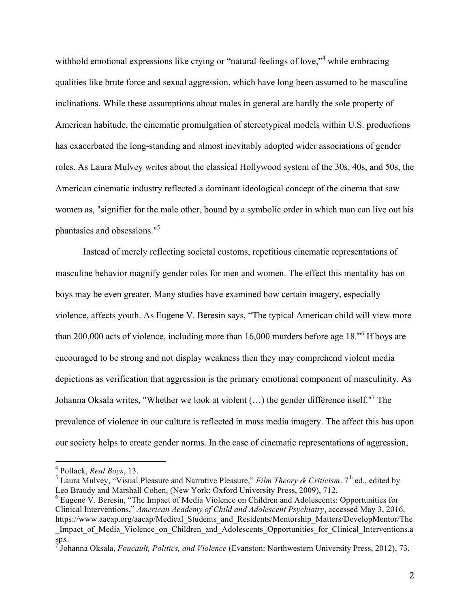withhold emotional expressions like crying or "natural feelings of love,"<sup>4</sup> while embracing qualities like brute force and sexual aggression, which have long been assumed to be masculine inclinations. While these assumptions about males in general are hardly the sole property of American habitude, the cinematic promulgation of stereotypical models within U.S. productions has exacerbated the long-standing and almost inevitably adopted wider associations of gender roles. As Laura Mulvey writes about the classical Hollywood system of the 30s, 40s, and 50s, the American cinematic industry reflected a dominant ideological concept of the cinema that saw women as, "signifier for the male other, bound by a symbolic order in which man can live out his phantasies and obsessions."5

Instead of merely reflecting societal customs, repetitious cinematic representations of masculine behavior magnify gender roles for men and women. The effect this mentality has on boys may be even greater. Many studies have examined how certain imagery, especially violence, affects youth. As Eugene V. Beresin says, "The typical American child will view more than 200,000 acts of violence, including more than 16,000 murders before age 18."<sup>6</sup> If boys are encouraged to be strong and not display weakness then they may comprehend violent media depictions as verification that aggression is the primary emotional component of masculinity. As Johanna Oksala writes, "Whether we look at violent  $(...)$  the gender difference itself."<sup>7</sup> The prevalence of violence in our culture is reflected in mass media imagery. The affect this has upon our society helps to create gender norms. In the case of cinematic representations of aggression,

<sup>4</sup> Pollack, *Real Boys*, 13.

 $5$  Laura Mulvey, "Visual Pleasure and Narrative Pleasure," *Film Theory & Criticism.* 7<sup>th</sup> ed., edited by Leo Braudy and Marshall Cohen, (New York: Oxford University Press, 2009), 712.

<sup>6</sup> Eugene V. Beresin, "The Impact of Media Violence on Children and Adolescents: Opportunities for Clinical Interventions," *American Academy of Child and Adolescent Psychiatry*, accessed May 3, 2016, https://www.aacap.org/aacap/Medical\_Students\_and\_Residents/Mentorship\_Matters/DevelopMentor/The

Impact of Media Violence on Children and Adolescents Opportunities for Clinical Interventions.a spx.

<sup>7</sup> Johanna Oksala, *Foucault, Politics, and Violence* (Evanston: Northwestern University Press, 2012), 73.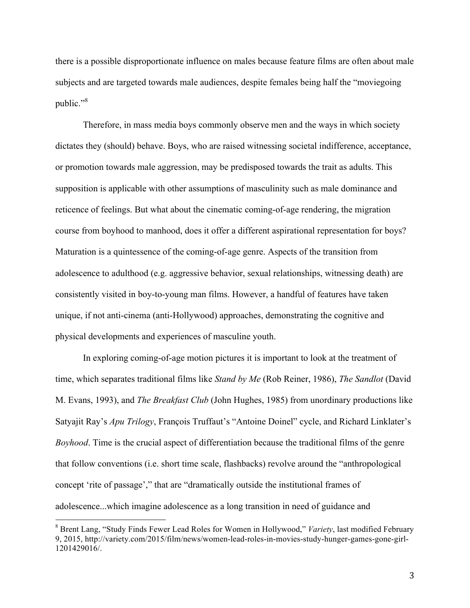there is a possible disproportionate influence on males because feature films are often about male subjects and are targeted towards male audiences, despite females being half the "moviegoing public."<sup>8</sup>

Therefore, in mass media boys commonly observe men and the ways in which society dictates they (should) behave. Boys, who are raised witnessing societal indifference, acceptance, or promotion towards male aggression, may be predisposed towards the trait as adults. This supposition is applicable with other assumptions of masculinity such as male dominance and reticence of feelings. But what about the cinematic coming-of-age rendering, the migration course from boyhood to manhood, does it offer a different aspirational representation for boys? Maturation is a quintessence of the coming-of-age genre. Aspects of the transition from adolescence to adulthood (e.g. aggressive behavior, sexual relationships, witnessing death) are consistently visited in boy-to-young man films. However, a handful of features have taken unique, if not anti-cinema (anti-Hollywood) approaches, demonstrating the cognitive and physical developments and experiences of masculine youth.

In exploring coming-of-age motion pictures it is important to look at the treatment of time, which separates traditional films like *Stand by Me* (Rob Reiner, 1986), *The Sandlot* (David M. Evans, 1993), and *The Breakfast Club* (John Hughes, 1985) from unordinary productions like Satyajit Ray's *Apu Trilogy*, François Truffaut's "Antoine Doinel" cycle, and Richard Linklater's *Boyhood*. Time is the crucial aspect of differentiation because the traditional films of the genre that follow conventions (i.e. short time scale, flashbacks) revolve around the "anthropological concept 'rite of passage'," that are "dramatically outside the institutional frames of adolescence...which imagine adolescence as a long transition in need of guidance and

<sup>8</sup> Brent Lang, "Study Finds Fewer Lead Roles for Women in Hollywood," *Variety*, last modified February 9, 2015, http://variety.com/2015/film/news/women-lead-roles-in-movies-study-hunger-games-gone-girl-1201429016/.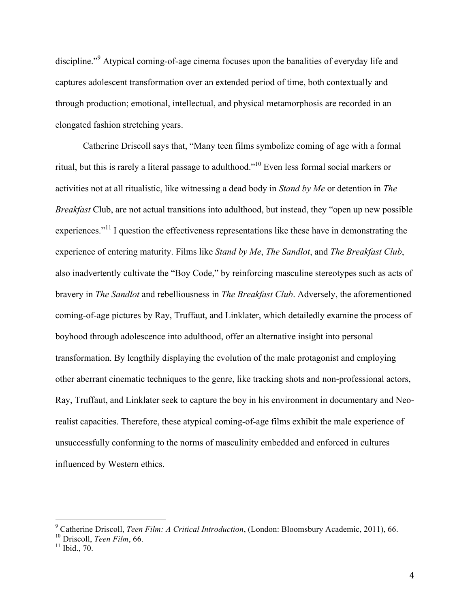discipline."<sup>9</sup> Atypical coming-of-age cinema focuses upon the banalities of everyday life and captures adolescent transformation over an extended period of time, both contextually and through production; emotional, intellectual, and physical metamorphosis are recorded in an elongated fashion stretching years.

Catherine Driscoll says that, "Many teen films symbolize coming of age with a formal ritual, but this is rarely a literal passage to adulthood."10 Even less formal social markers or activities not at all ritualistic, like witnessing a dead body in *Stand by Me* or detention in *The Breakfast* Club, are not actual transitions into adulthood, but instead, they "open up new possible experiences."<sup>11</sup> I question the effectiveness representations like these have in demonstrating the experience of entering maturity. Films like *Stand by Me*, *The Sandlot*, and *The Breakfast Club*, also inadvertently cultivate the "Boy Code," by reinforcing masculine stereotypes such as acts of bravery in *The Sandlot* and rebelliousness in *The Breakfast Club*. Adversely, the aforementioned coming-of-age pictures by Ray, Truffaut, and Linklater, which detailedly examine the process of boyhood through adolescence into adulthood, offer an alternative insight into personal transformation. By lengthily displaying the evolution of the male protagonist and employing other aberrant cinematic techniques to the genre, like tracking shots and non-professional actors, Ray, Truffaut, and Linklater seek to capture the boy in his environment in documentary and Neorealist capacities. Therefore, these atypical coming-of-age films exhibit the male experience of unsuccessfully conforming to the norms of masculinity embedded and enforced in cultures influenced by Western ethics.

<sup>10</sup> Driscoll, *Teen Film*, 66.

<sup>9</sup> Catherine Driscoll, *Teen Film: A Critical Introduction*, (London: Bloomsbury Academic, 2011), 66.

 $11$  Ibid., 70.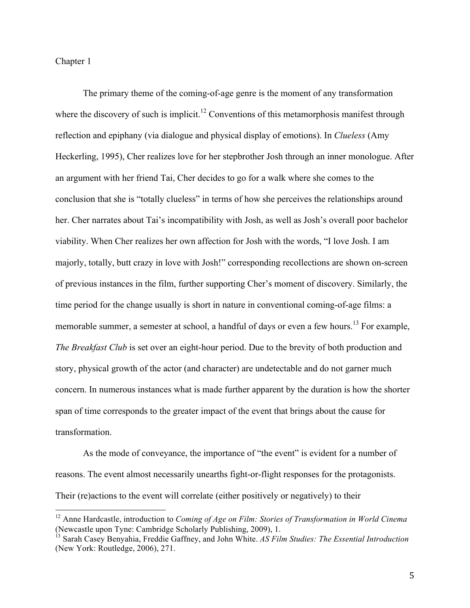### Chapter 1

The primary theme of the coming-of-age genre is the moment of any transformation where the discovery of such is implicit.<sup>12</sup> Conventions of this metamorphosis manifest through reflection and epiphany (via dialogue and physical display of emotions). In *Clueless* (Amy Heckerling, 1995), Cher realizes love for her stepbrother Josh through an inner monologue. After an argument with her friend Tai, Cher decides to go for a walk where she comes to the conclusion that she is "totally clueless" in terms of how she perceives the relationships around her. Cher narrates about Tai's incompatibility with Josh, as well as Josh's overall poor bachelor viability. When Cher realizes her own affection for Josh with the words, "I love Josh. I am majorly, totally, butt crazy in love with Josh!" corresponding recollections are shown on-screen of previous instances in the film, further supporting Cher's moment of discovery. Similarly, the time period for the change usually is short in nature in conventional coming-of-age films: a memorable summer, a semester at school, a handful of days or even a few hours.<sup>13</sup> For example, *The Breakfast Club* is set over an eight-hour period. Due to the brevity of both production and story, physical growth of the actor (and character) are undetectable and do not garner much concern. In numerous instances what is made further apparent by the duration is how the shorter span of time corresponds to the greater impact of the event that brings about the cause for transformation.

As the mode of conveyance, the importance of "the event" is evident for a number of reasons. The event almost necessarily unearths fight-or-flight responses for the protagonists. Their (re)actions to the event will correlate (either positively or negatively) to their

 <sup>12</sup> Anne Hardcastle, introduction to *Coming of Age on Film: Stories of Transformation in World Cinema* (Newcastle upon Tyne: Cambridge Scholarly Publishing, 2009), 1.

<sup>13</sup> Sarah Casey Benyahia, Freddie Gaffney, and John White. *AS Film Studies: The Essential Introduction* (New York: Routledge, 2006), 271.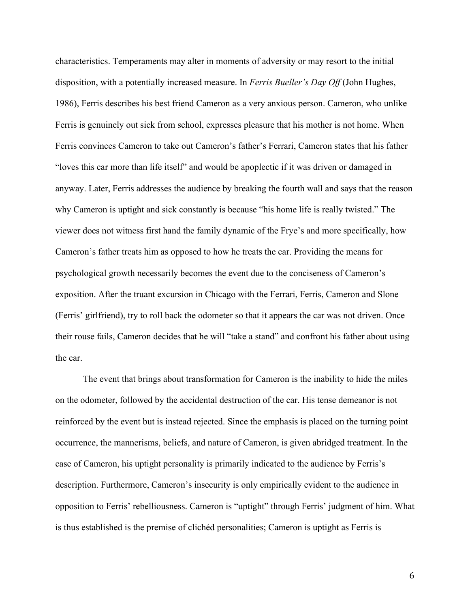characteristics. Temperaments may alter in moments of adversity or may resort to the initial disposition, with a potentially increased measure. In *Ferris Bueller's Day Off* (John Hughes, 1986), Ferris describes his best friend Cameron as a very anxious person. Cameron, who unlike Ferris is genuinely out sick from school, expresses pleasure that his mother is not home. When Ferris convinces Cameron to take out Cameron's father's Ferrari, Cameron states that his father "loves this car more than life itself" and would be apoplectic if it was driven or damaged in anyway. Later, Ferris addresses the audience by breaking the fourth wall and says that the reason why Cameron is uptight and sick constantly is because "his home life is really twisted." The viewer does not witness first hand the family dynamic of the Frye's and more specifically, how Cameron's father treats him as opposed to how he treats the car. Providing the means for psychological growth necessarily becomes the event due to the conciseness of Cameron's exposition. After the truant excursion in Chicago with the Ferrari, Ferris, Cameron and Slone (Ferris' girlfriend), try to roll back the odometer so that it appears the car was not driven. Once their rouse fails, Cameron decides that he will "take a stand" and confront his father about using the car.

The event that brings about transformation for Cameron is the inability to hide the miles on the odometer, followed by the accidental destruction of the car. His tense demeanor is not reinforced by the event but is instead rejected. Since the emphasis is placed on the turning point occurrence, the mannerisms, beliefs, and nature of Cameron, is given abridged treatment. In the case of Cameron, his uptight personality is primarily indicated to the audience by Ferris's description. Furthermore, Cameron's insecurity is only empirically evident to the audience in opposition to Ferris' rebelliousness. Cameron is "uptight" through Ferris' judgment of him. What is thus established is the premise of clichéd personalities; Cameron is uptight as Ferris is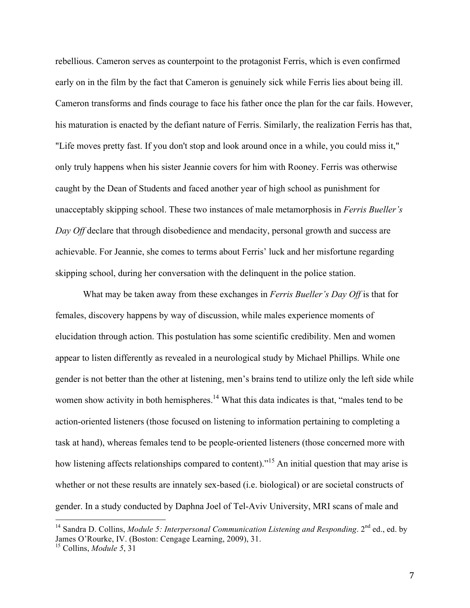rebellious. Cameron serves as counterpoint to the protagonist Ferris, which is even confirmed early on in the film by the fact that Cameron is genuinely sick while Ferris lies about being ill. Cameron transforms and finds courage to face his father once the plan for the car fails. However, his maturation is enacted by the defiant nature of Ferris. Similarly, the realization Ferris has that, "Life moves pretty fast. If you don't stop and look around once in a while, you could miss it," only truly happens when his sister Jeannie covers for him with Rooney. Ferris was otherwise caught by the Dean of Students and faced another year of high school as punishment for unacceptably skipping school. These two instances of male metamorphosis in *Ferris Bueller's Day Off* declare that through disobedience and mendacity, personal growth and success are achievable. For Jeannie, she comes to terms about Ferris' luck and her misfortune regarding skipping school, during her conversation with the delinquent in the police station.

What may be taken away from these exchanges in *Ferris Bueller's Day Off* is that for females, discovery happens by way of discussion, while males experience moments of elucidation through action. This postulation has some scientific credibility. Men and women appear to listen differently as revealed in a neurological study by Michael Phillips. While one gender is not better than the other at listening, men's brains tend to utilize only the left side while women show activity in both hemispheres.<sup>14</sup> What this data indicates is that, "males tend to be action-oriented listeners (those focused on listening to information pertaining to completing a task at hand), whereas females tend to be people-oriented listeners (those concerned more with how listening affects relationships compared to content).<sup>"15</sup> An initial question that may arise is whether or not these results are innately sex-based (i.e. biological) or are societal constructs of gender. In a study conducted by Daphna Joel of Tel-Aviv University, MRI scans of male and

<sup>&</sup>lt;sup>14</sup> Sandra D. Collins, *Module 5: Interpersonal Communication Listening and Responding*. 2<sup>nd</sup> ed., ed. by James O'Rourke, IV. (Boston: Cengage Learning, 2009), 31.

<sup>15</sup> Collins, *Module 5*, 31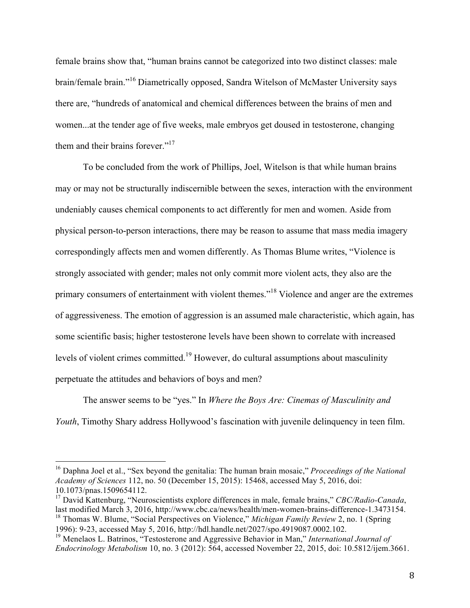female brains show that, "human brains cannot be categorized into two distinct classes: male brain/female brain."<sup>16</sup> Diametrically opposed, Sandra Witelson of McMaster University says there are, "hundreds of anatomical and chemical differences between the brains of men and women...at the tender age of five weeks, male embryos get doused in testosterone, changing them and their brains forever."<sup>17</sup>

To be concluded from the work of Phillips, Joel, Witelson is that while human brains may or may not be structurally indiscernible between the sexes, interaction with the environment undeniably causes chemical components to act differently for men and women. Aside from physical person-to-person interactions, there may be reason to assume that mass media imagery correspondingly affects men and women differently. As Thomas Blume writes, "Violence is strongly associated with gender; males not only commit more violent acts, they also are the primary consumers of entertainment with violent themes."<sup>18</sup> Violence and anger are the extremes of aggressiveness. The emotion of aggression is an assumed male characteristic, which again, has some scientific basis; higher testosterone levels have been shown to correlate with increased levels of violent crimes committed.<sup>19</sup> However, do cultural assumptions about masculinity perpetuate the attitudes and behaviors of boys and men?

The answer seems to be "yes." In *Where the Boys Are: Cinemas of Masculinity and Youth*, Timothy Shary address Hollywood's fascination with juvenile delinquency in teen film.

<sup>16</sup> Daphna Joel et al., "Sex beyond the genitalia: The human brain mosaic," *Proceedings of the National Academy of Sciences* 112, no. 50 (December 15, 2015): 15468, accessed May 5, 2016, doi: 10.1073/pnas.1509654112.

<sup>17</sup> David Kattenburg, "Neuroscientists explore differences in male, female brains," *CBC/Radio-Canada*, last modified March 3, 2016, http://www.cbc.ca/news/health/men-women-brains-difference-1.3473154. <sup>18</sup> Thomas W. Blume, "Social Perspectives on Violence," *Michigan Family Review* 2, no. 1 (Spring 1996): 9-23, accessed May 5, 2016, http://hdl.handle.net/2027/spo.4919087.0002.102.

<sup>&</sup>lt;sup>19</sup> Menelaos L. Batrinos, "Testosterone and Aggressive Behavior in Man," *International Journal of Endocrinology Metabolism* 10, no. 3 (2012): 564, accessed November 22, 2015, doi: 10.5812/ijem.3661.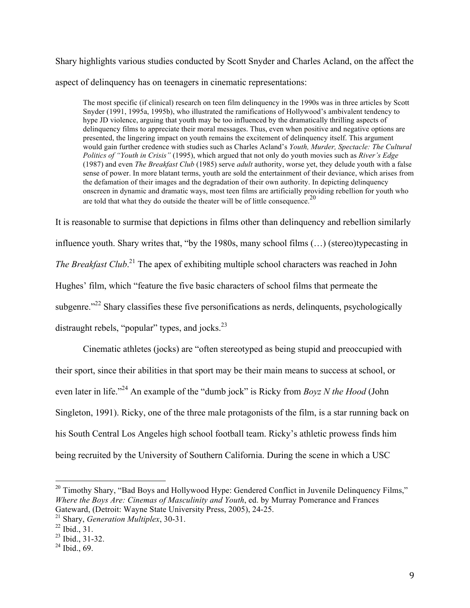Shary highlights various studies conducted by Scott Snyder and Charles Acland, on the affect the aspect of delinquency has on teenagers in cinematic representations:

The most specific (if clinical) research on teen film delinquency in the 1990s was in three articles by Scott Snyder (1991, 1995a, 1995b), who illustrated the ramifications of Hollywood's ambivalent tendency to hype JD violence, arguing that youth may be too influenced by the dramatically thrilling aspects of delinquency films to appreciate their moral messages. Thus, even when positive and negative options are presented, the lingering impact on youth remains the excitement of delinquency itself. This argument would gain further credence with studies such as Charles Acland's *Youth, Murder, Spectacle: The Cultural Politics of "Youth in Crisis"* (1995), which argued that not only do youth movies such as *River's Edge* (1987) and even *The Breakfast Club* (1985) serve *adult* authority, worse yet, they delude youth with a false sense of power. In more blatant terms, youth are sold the entertainment of their deviance, which arises from the defamation of their images and the degradation of their own authority. In depicting delinquency onscreen in dynamic and dramatic ways, most teen films are artificially providing rebellion for youth who are told that what they do outside the theater will be of little consequence.<sup>20</sup>

It is reasonable to surmise that depictions in films other than delinquency and rebellion similarly influence youth. Shary writes that, "by the 1980s, many school films (…) (stereo)typecasting in The Breakfast Club.<sup>21</sup> The apex of exhibiting multiple school characters was reached in John Hughes' film, which "feature the five basic characters of school films that permeate the subgenre."<sup>22</sup> Shary classifies these five personifications as nerds, delinquents, psychologically distraught rebels, "popular" types, and jocks.<sup>23</sup>

Cinematic athletes (jocks) are "often stereotyped as being stupid and preoccupied with their sport, since their abilities in that sport may be their main means to success at school, or even later in life."<sup>24</sup> An example of the "dumb jock" is Ricky from *Boyz N the Hood* (John Singleton, 1991). Ricky, one of the three male protagonists of the film, is a star running back on his South Central Los Angeles high school football team. Ricky's athletic prowess finds him being recruited by the University of Southern California. During the scene in which a USC

 $20$  Timothy Shary, "Bad Boys and Hollywood Hype: Gendered Conflict in Juvenile Delinquency Films," *Where the Boys Are: Cinemas of Masculinity and Youth*, ed. by Murray Pomerance and Frances Gateward, (Detroit: Wayne State University Press, 2005), 24-25.

<sup>21</sup> Shary, *Generation Multiplex*, 30-31.

 $^{22}$  Ibid., 31.

 $23$  Ibid., 31-32.

 $^{24}$  Ibid., 69.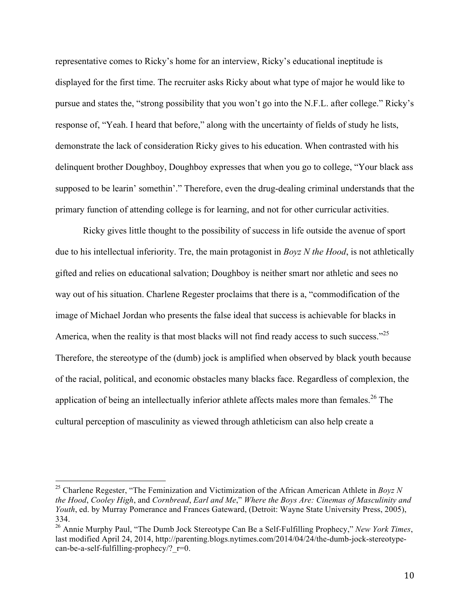representative comes to Ricky's home for an interview, Ricky's educational ineptitude is displayed for the first time. The recruiter asks Ricky about what type of major he would like to pursue and states the, "strong possibility that you won't go into the N.F.L. after college." Ricky's response of, "Yeah. I heard that before," along with the uncertainty of fields of study he lists, demonstrate the lack of consideration Ricky gives to his education. When contrasted with his delinquent brother Doughboy, Doughboy expresses that when you go to college, "Your black ass supposed to be learin' somethin'." Therefore, even the drug-dealing criminal understands that the primary function of attending college is for learning, and not for other curricular activities.

Ricky gives little thought to the possibility of success in life outside the avenue of sport due to his intellectual inferiority. Tre, the main protagonist in *Boyz N the Hood*, is not athletically gifted and relies on educational salvation; Doughboy is neither smart nor athletic and sees no way out of his situation. Charlene Regester proclaims that there is a, "commodification of the image of Michael Jordan who presents the false ideal that success is achievable for blacks in America, when the reality is that most blacks will not find ready access to such success."<sup>25</sup> Therefore, the stereotype of the (dumb) jock is amplified when observed by black youth because of the racial, political, and economic obstacles many blacks face. Regardless of complexion, the application of being an intellectually inferior athlete affects males more than females.<sup>26</sup> The cultural perception of masculinity as viewed through athleticism can also help create a

<sup>25</sup> Charlene Regester, "The Feminization and Victimization of the African American Athlete in *Boyz N the Hood*, *Cooley High*, and *Cornbread*, *Earl and Me*," *Where the Boys Are: Cinemas of Masculinity and Youth*, ed. by Murray Pomerance and Frances Gateward, (Detroit: Wayne State University Press, 2005), 334.

<sup>26</sup> Annie Murphy Paul, "The Dumb Jock Stereotype Can Be a Self-Fulfilling Prophecy," *New York Times*, last modified April 24, 2014, http://parenting.blogs.nytimes.com/2014/04/24/the-dumb-jock-stereotypecan-be-a-self-fulfilling-prophecy/? $r=0$ .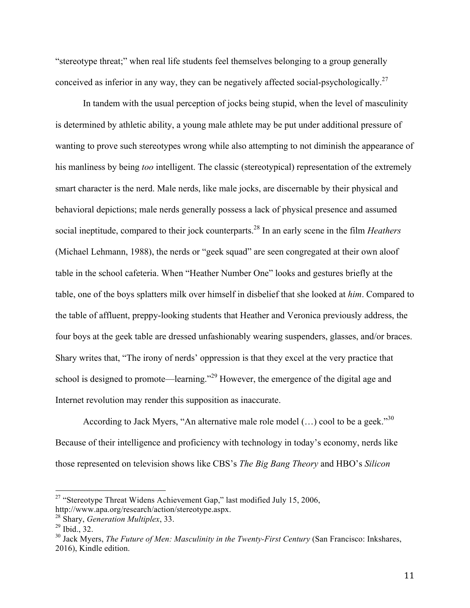"stereotype threat;" when real life students feel themselves belonging to a group generally conceived as inferior in any way, they can be negatively affected social-psychologically.<sup>27</sup>

In tandem with the usual perception of jocks being stupid, when the level of masculinity is determined by athletic ability, a young male athlete may be put under additional pressure of wanting to prove such stereotypes wrong while also attempting to not diminish the appearance of his manliness by being *too* intelligent. The classic (stereotypical) representation of the extremely smart character is the nerd. Male nerds, like male jocks, are discernable by their physical and behavioral depictions; male nerds generally possess a lack of physical presence and assumed social ineptitude, compared to their jock counterparts. <sup>28</sup> In an early scene in the film *Heathers* (Michael Lehmann, 1988), the nerds or "geek squad" are seen congregated at their own aloof table in the school cafeteria. When "Heather Number One" looks and gestures briefly at the table, one of the boys splatters milk over himself in disbelief that she looked at *him*. Compared to the table of affluent, preppy-looking students that Heather and Veronica previously address, the four boys at the geek table are dressed unfashionably wearing suspenders, glasses, and/or braces. Shary writes that, "The irony of nerds' oppression is that they excel at the very practice that school is designed to promote—learning."<sup>29</sup> However, the emergence of the digital age and Internet revolution may render this supposition as inaccurate.

According to Jack Myers, "An alternative male role model  $(...)$  cool to be a geek."<sup>30</sup> Because of their intelligence and proficiency with technology in today's economy, nerds like those represented on television shows like CBS's *The Big Bang Theory* and HBO's *Silicon* 

<sup>&</sup>lt;sup>27</sup> "Stereotype Threat Widens Achievement Gap," last modified July 15, 2006, http://www.apa.org/research/action/stereotype.aspx.

<sup>28</sup> Shary, *Generation Multiplex*, 33.

<sup>29</sup> Ibid., 32.

<sup>30</sup> Jack Myers, *The Future of Men: Masculinity in the Twenty-First Century* (San Francisco: Inkshares, 2016), Kindle edition.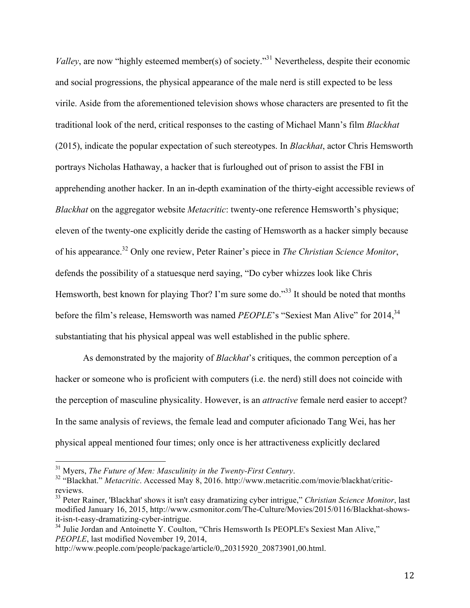*Valley*, are now "highly esteemed member(s) of society."<sup>31</sup> Nevertheless, despite their economic and social progressions, the physical appearance of the male nerd is still expected to be less virile. Aside from the aforementioned television shows whose characters are presented to fit the traditional look of the nerd, critical responses to the casting of Michael Mann's film *Blackhat* (2015), indicate the popular expectation of such stereotypes. In *Blackhat*, actor Chris Hemsworth portrays Nicholas Hathaway, a hacker that is furloughed out of prison to assist the FBI in apprehending another hacker. In an in-depth examination of the thirty-eight accessible reviews of *Blackhat* on the aggregator website *Metacritic*: twenty-one reference Hemsworth's physique; eleven of the twenty-one explicitly deride the casting of Hemsworth as a hacker simply because of his appearance. <sup>32</sup> Only one review, Peter Rainer's piece in *The Christian Science Monitor*, defends the possibility of a statuesque nerd saying, "Do cyber whizzes look like Chris Hemsworth, best known for playing Thor? I'm sure some do.<sup>33</sup> It should be noted that months before the film's release, Hemsworth was named *PEOPLE*'s "Sexiest Man Alive" for 2014,<sup>34</sup> substantiating that his physical appeal was well established in the public sphere.

As demonstrated by the majority of *Blackhat*'s critiques, the common perception of a hacker or someone who is proficient with computers (i.e. the nerd) still does not coincide with the perception of masculine physicality. However, is an *attractive* female nerd easier to accept? In the same analysis of reviews, the female lead and computer aficionado Tang Wei, has her physical appeal mentioned four times; only once is her attractiveness explicitly declared

<sup>&</sup>lt;sup>31</sup> Myers, *The Future of Men: Masculinity in the Twenty-First Century.*<br><sup>32</sup> "Blackhat." *Metacritic*. Accessed May 8, 2016. http://www.metacritic.com/movie/blackhat/criticreviews.

<sup>33</sup> Peter Rainer, 'Blackhat' shows it isn't easy dramatizing cyber intrigue," *Christian Science Monitor*, last modified January 16, 2015, http://www.csmonitor.com/The-Culture/Movies/2015/0116/Blackhat-showsit-isn-t-easy-dramatizing-cyber-intrigue.

<sup>&</sup>lt;sup>34</sup> Julie Jordan and Antoinette Y. Coulton, "Chris Hemsworth Is PEOPLE's Sexiest Man Alive," *PEOPLE*, last modified November 19, 2014,

http://www.people.com/people/package/article/0,,20315920\_20873901,00.html.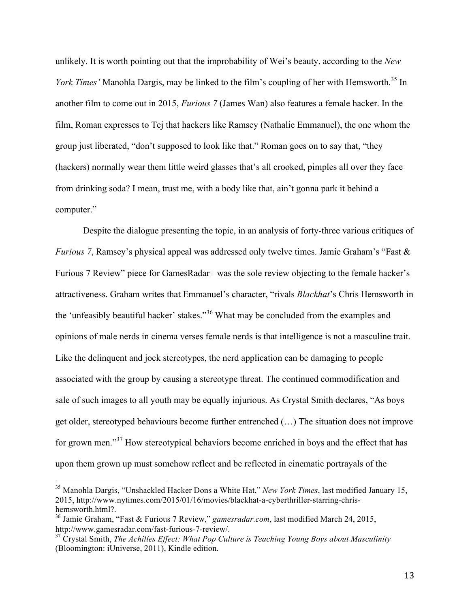unlikely. It is worth pointing out that the improbability of Wei's beauty, according to the *New York Times'* Manohla Dargis, may be linked to the film's coupling of her with Hemsworth.<sup>35</sup> In another film to come out in 2015, *Furious 7* (James Wan) also features a female hacker. In the film, Roman expresses to Tej that hackers like Ramsey (Nathalie Emmanuel), the one whom the group just liberated, "don't supposed to look like that." Roman goes on to say that, "they (hackers) normally wear them little weird glasses that's all crooked, pimples all over they face from drinking soda? I mean, trust me, with a body like that, ain't gonna park it behind a computer."

Despite the dialogue presenting the topic, in an analysis of forty-three various critiques of *Furious 7*, Ramsey's physical appeal was addressed only twelve times. Jamie Graham's "Fast & Furious 7 Review" piece for GamesRadar+ was the sole review objecting to the female hacker's attractiveness. Graham writes that Emmanuel's character, "rivals *Blackhat*'s Chris Hemsworth in the 'unfeasibly beautiful hacker' stakes."<sup>36</sup> What may be concluded from the examples and opinions of male nerds in cinema verses female nerds is that intelligence is not a masculine trait. Like the delinquent and jock stereotypes, the nerd application can be damaging to people associated with the group by causing a stereotype threat. The continued commodification and sale of such images to all youth may be equally injurious. As Crystal Smith declares, "As boys get older, stereotyped behaviours become further entrenched (…) The situation does not improve for grown men."<sup>37</sup> How stereotypical behaviors become enriched in boys and the effect that has upon them grown up must somehow reflect and be reflected in cinematic portrayals of the

<sup>35</sup> Manohla Dargis, "Unshackled Hacker Dons a White Hat," *New York Times*, last modified January 15, 2015, http://www.nytimes.com/2015/01/16/movies/blackhat-a-cyberthriller-starring-chrishemsworth.html?.

<sup>36</sup> Jamie Graham, "Fast & Furious 7 Review," *gamesradar.com*, last modified March 24, 2015, http://www.gamesradar.com/fast-furious-7-review/.

<sup>37</sup> Crystal Smith, *The Achilles Effect: What Pop Culture is Teaching Young Boys about Masculinity* (Bloomington: iUniverse, 2011), Kindle edition.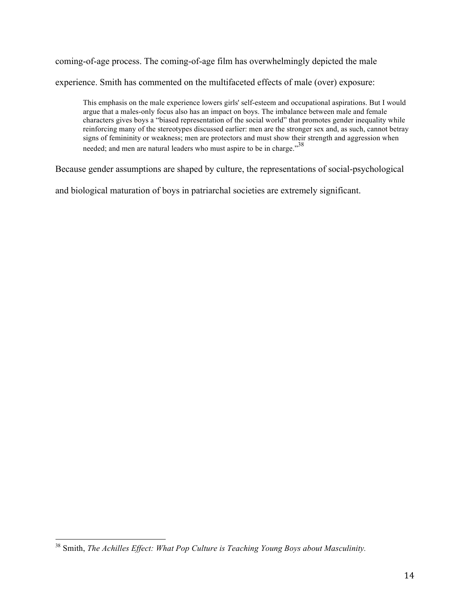coming-of-age process. The coming-of-age film has overwhelmingly depicted the male

experience. Smith has commented on the multifaceted effects of male (over) exposure:

This emphasis on the male experience lowers girls' self-esteem and occupational aspirations. But I would argue that a males-only focus also has an impact on boys. The imbalance between male and female characters gives boys a "biased representation of the social world" that promotes gender inequality while reinforcing many of the stereotypes discussed earlier: men are the stronger sex and, as such, cannot betray signs of femininity or weakness; men are protectors and must show their strength and aggression when needed; and men are natural leaders who must aspire to be in charge."<sup>38</sup>

Because gender assumptions are shaped by culture, the representations of social-psychological

and biological maturation of boys in patriarchal societies are extremely significant.

 <sup>38</sup> Smith, *The Achilles Effect: What Pop Culture is Teaching Young Boys about Masculinity.*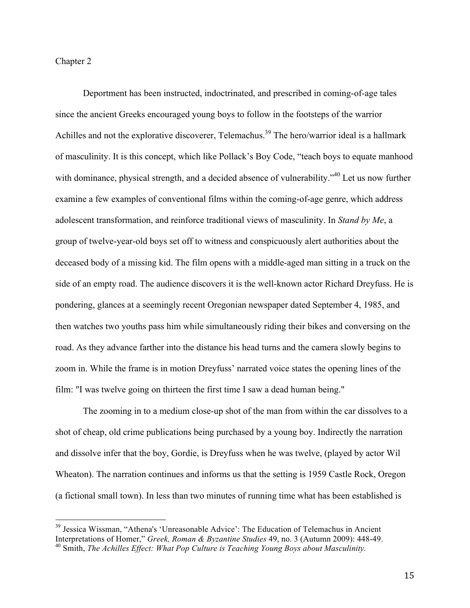### Chapter 2

Deportment has been instructed, indoctrinated, and prescribed in coming-of-age tales since the ancient Greeks encouraged young boys to follow in the footsteps of the warrior Achilles and not the explorative discoverer, Telemachus.<sup>39</sup> The hero/warrior ideal is a hallmark of masculinity. It is this concept, which like Pollack's Boy Code, "teach boys to equate manhood with dominance, physical strength, and a decided absence of vulnerability.<sup>"40</sup> Let us now further examine a few examples of conventional films within the coming-of-age genre, which address adolescent transformation, and reinforce traditional views of masculinity. In *Stand by Me*, a group of twelve-year-old boys set off to witness and conspicuously alert authorities about the deceased body of a missing kid. The film opens with a middle-aged man sitting in a truck on the side of an empty road. The audience discovers it is the well-known actor Richard Dreyfuss. He is pondering, glances at a seemingly recent Oregonian newspaper dated September 4, 1985, and then watches two youths pass him while simultaneously riding their bikes and conversing on the road. As they advance farther into the distance his head turns and the camera slowly begins to zoom in. While the frame is in motion Dreyfuss' narrated voice states the opening lines of the film: "I was twelve going on thirteen the first time I saw a dead human being."

The zooming in to a medium close-up shot of the man from within the car dissolves to a shot of cheap, old crime publications being purchased by a young boy. Indirectly the narration and dissolve infer that the boy, Gordie, is Dreyfuss when he was twelve, (played by actor Wil Wheaton). The narration continues and informs us that the setting is 1959 Castle Rock, Oregon (a fictional small town). In less than two minutes of running time what has been established is

<sup>39</sup> Jessica Wissman, "Athena's 'Unreasonable Advice': The Education of Telemachus in Ancient Interpretations of Homer," *Greek, Roman & Byzantine Studies* 49, no. 3 (Autumn 2009): 448-49. <sup>40</sup> Smith, *The Achilles Effect: What Pop Culture is Teaching Young Boys about Masculinity.*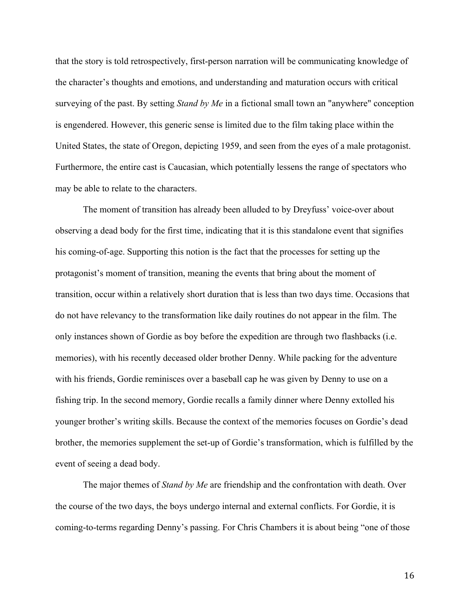that the story is told retrospectively, first-person narration will be communicating knowledge of the character's thoughts and emotions, and understanding and maturation occurs with critical surveying of the past. By setting *Stand by Me* in a fictional small town an "anywhere" conception is engendered. However, this generic sense is limited due to the film taking place within the United States, the state of Oregon, depicting 1959, and seen from the eyes of a male protagonist. Furthermore, the entire cast is Caucasian, which potentially lessens the range of spectators who may be able to relate to the characters.

The moment of transition has already been alluded to by Dreyfuss' voice-over about observing a dead body for the first time, indicating that it is this standalone event that signifies his coming-of-age. Supporting this notion is the fact that the processes for setting up the protagonist's moment of transition, meaning the events that bring about the moment of transition, occur within a relatively short duration that is less than two days time. Occasions that do not have relevancy to the transformation like daily routines do not appear in the film. The only instances shown of Gordie as boy before the expedition are through two flashbacks (i.e. memories), with his recently deceased older brother Denny. While packing for the adventure with his friends, Gordie reminisces over a baseball cap he was given by Denny to use on a fishing trip. In the second memory, Gordie recalls a family dinner where Denny extolled his younger brother's writing skills. Because the context of the memories focuses on Gordie's dead brother, the memories supplement the set-up of Gordie's transformation, which is fulfilled by the event of seeing a dead body.

The major themes of *Stand by Me* are friendship and the confrontation with death. Over the course of the two days, the boys undergo internal and external conflicts. For Gordie, it is coming-to-terms regarding Denny's passing. For Chris Chambers it is about being "one of those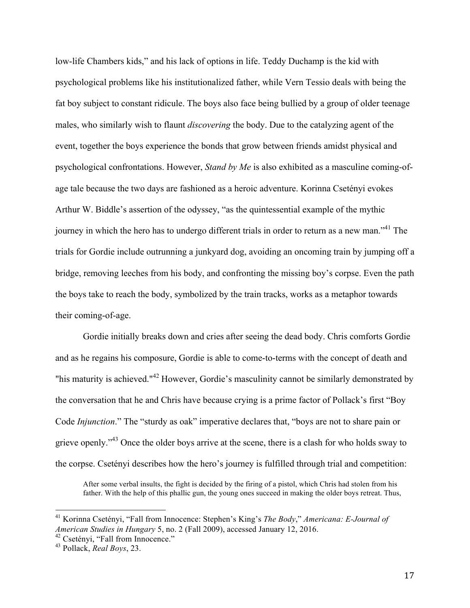low-life Chambers kids," and his lack of options in life. Teddy Duchamp is the kid with psychological problems like his institutionalized father, while Vern Tessio deals with being the fat boy subject to constant ridicule. The boys also face being bullied by a group of older teenage males, who similarly wish to flaunt *discovering* the body. Due to the catalyzing agent of the event, together the boys experience the bonds that grow between friends amidst physical and psychological confrontations. However, *Stand by Me* is also exhibited as a masculine coming-ofage tale because the two days are fashioned as a heroic adventure. Korinna Csetényi evokes Arthur W. Biddle's assertion of the odyssey, "as the quintessential example of the mythic journey in which the hero has to undergo different trials in order to return as a new man.<sup>341</sup> The trials for Gordie include outrunning a junkyard dog, avoiding an oncoming train by jumping off a bridge, removing leeches from his body, and confronting the missing boy's corpse. Even the path the boys take to reach the body, symbolized by the train tracks, works as a metaphor towards their coming-of-age.

Gordie initially breaks down and cries after seeing the dead body. Chris comforts Gordie and as he regains his composure, Gordie is able to come-to-terms with the concept of death and "his maturity is achieved."<sup>42</sup> However, Gordie's masculinity cannot be similarly demonstrated by the conversation that he and Chris have because crying is a prime factor of Pollack's first "Boy Code *Injunction*." The "sturdy as oak" imperative declares that, "boys are not to share pain or grieve openly."<sup>43</sup> Once the older boys arrive at the scene, there is a clash for who holds sway to the corpse. Csetényi describes how the hero's journey is fulfilled through trial and competition:

After some verbal insults, the fight is decided by the firing of a pistol, which Chris had stolen from his father. With the help of this phallic gun, the young ones succeed in making the older boys retreat. Thus,

 <sup>41</sup> Korinna Csetényi, "Fall from Innocence: Stephen's King's *The Body*," *Americana: E-Journal of American Studies in Hungary* 5, no. 2 (Fall 2009), accessed January 12, 2016.

<sup>42</sup> Csetényi, "Fall from Innocence."

<sup>43</sup> Pollack, *Real Boys*, 23.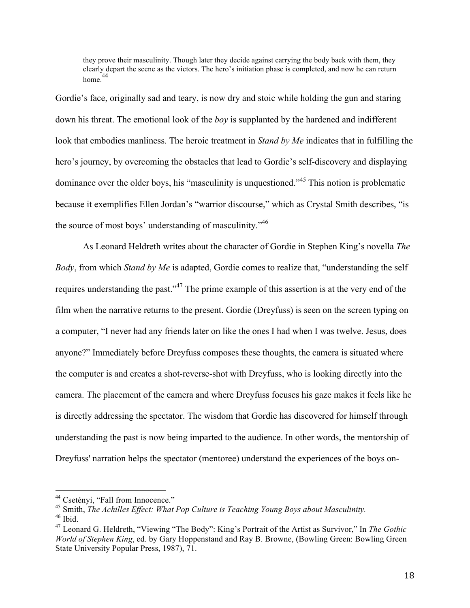they prove their masculinity. Though later they decide against carrying the body back with them, they clearly depart the scene as the victors. The hero's initiation phase is completed, and now he can return home $44$ 

Gordie's face, originally sad and teary, is now dry and stoic while holding the gun and staring down his threat. The emotional look of the *boy* is supplanted by the hardened and indifferent look that embodies manliness. The heroic treatment in *Stand by Me* indicates that in fulfilling the hero's journey, by overcoming the obstacles that lead to Gordie's self-discovery and displaying dominance over the older boys, his "masculinity is unquestioned."<sup>45</sup> This notion is problematic because it exemplifies Ellen Jordan's "warrior discourse," which as Crystal Smith describes, "is the source of most boys' understanding of masculinity.<sup>"46</sup>

As Leonard Heldreth writes about the character of Gordie in Stephen King's novella *The Body*, from which *Stand by Me* is adapted, Gordie comes to realize that, "understanding the self requires understanding the past."47 The prime example of this assertion is at the very end of the film when the narrative returns to the present. Gordie (Dreyfuss) is seen on the screen typing on a computer, "I never had any friends later on like the ones I had when I was twelve. Jesus, does anyone?" Immediately before Dreyfuss composes these thoughts, the camera is situated where the computer is and creates a shot-reverse-shot with Dreyfuss, who is looking directly into the camera. The placement of the camera and where Dreyfuss focuses his gaze makes it feels like he is directly addressing the spectator. The wisdom that Gordie has discovered for himself through understanding the past is now being imparted to the audience. In other words, the mentorship of Dreyfuss' narration helps the spectator (mentoree) understand the experiences of the boys on-

 <sup>44</sup> Csetényi, "Fall from Innocence."

<sup>45</sup> Smith, *The Achilles Effect: What Pop Culture is Teaching Young Boys about Masculinity.*

 $46$  Ibid.

<sup>47</sup> Leonard G. Heldreth, "Viewing "The Body": King's Portrait of the Artist as Survivor," In *The Gothic World of Stephen King*, ed. by Gary Hoppenstand and Ray B. Browne, (Bowling Green: Bowling Green State University Popular Press, 1987), 71.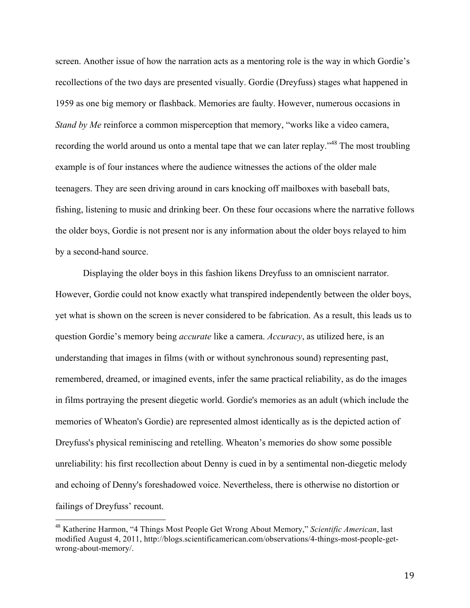screen. Another issue of how the narration acts as a mentoring role is the way in which Gordie's recollections of the two days are presented visually. Gordie (Dreyfuss) stages what happened in 1959 as one big memory or flashback. Memories are faulty. However, numerous occasions in *Stand by Me* reinforce a common misperception that memory, "works like a video camera, recording the world around us onto a mental tape that we can later replay."<sup>48</sup> The most troubling example is of four instances where the audience witnesses the actions of the older male teenagers. They are seen driving around in cars knocking off mailboxes with baseball bats, fishing, listening to music and drinking beer. On these four occasions where the narrative follows the older boys, Gordie is not present nor is any information about the older boys relayed to him by a second-hand source.

Displaying the older boys in this fashion likens Dreyfuss to an omniscient narrator. However, Gordie could not know exactly what transpired independently between the older boys, yet what is shown on the screen is never considered to be fabrication. As a result, this leads us to question Gordie's memory being *accurate* like a camera. *Accuracy*, as utilized here, is an understanding that images in films (with or without synchronous sound) representing past, remembered, dreamed, or imagined events, infer the same practical reliability, as do the images in films portraying the present diegetic world. Gordie's memories as an adult (which include the memories of Wheaton's Gordie) are represented almost identically as is the depicted action of Dreyfuss's physical reminiscing and retelling. Wheaton's memories do show some possible unreliability: his first recollection about Denny is cued in by a sentimental non-diegetic melody and echoing of Denny's foreshadowed voice. Nevertheless, there is otherwise no distortion or failings of Dreyfuss' recount.

<sup>48</sup> Katherine Harmon, "4 Things Most People Get Wrong About Memory," *Scientific American*, last modified August 4, 2011, http://blogs.scientificamerican.com/observations/4-things-most-people-getwrong-about-memory/.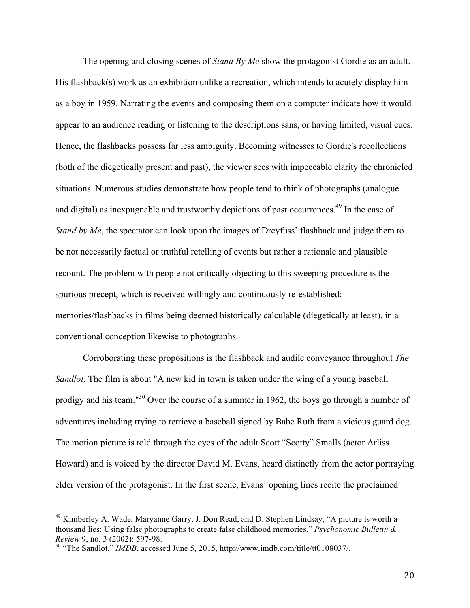The opening and closing scenes of *Stand By Me* show the protagonist Gordie as an adult. His flashback(s) work as an exhibition unlike a recreation, which intends to acutely display him as a boy in 1959. Narrating the events and composing them on a computer indicate how it would appear to an audience reading or listening to the descriptions sans, or having limited, visual cues. Hence, the flashbacks possess far less ambiguity. Becoming witnesses to Gordie's recollections (both of the diegetically present and past), the viewer sees with impeccable clarity the chronicled situations. Numerous studies demonstrate how people tend to think of photographs (analogue and digital) as inexpugnable and trustworthy depictions of past occurrences.<sup>49</sup> In the case of *Stand by Me*, the spectator can look upon the images of Dreyfuss' flashback and judge them to be not necessarily factual or truthful retelling of events but rather a rationale and plausible recount. The problem with people not critically objecting to this sweeping procedure is the spurious precept, which is received willingly and continuously re-established: memories/flashbacks in films being deemed historically calculable (diegetically at least), in a conventional conception likewise to photographs.

Corroborating these propositions is the flashback and audile conveyance throughout *The Sandlot*. The film is about "A new kid in town is taken under the wing of a young baseball prodigy and his team."<sup>50</sup> Over the course of a summer in 1962, the boys go through a number of adventures including trying to retrieve a baseball signed by Babe Ruth from a vicious guard dog. The motion picture is told through the eyes of the adult Scott "Scotty" Smalls (actor Arliss Howard) and is voiced by the director David M. Evans, heard distinctly from the actor portraying elder version of the protagonist. In the first scene, Evans' opening lines recite the proclaimed

<sup>&</sup>lt;sup>49</sup> Kimberley A. Wade, Maryanne Garry, J. Don Read, and D. Stephen Lindsay, "A picture is worth a thousand lies: Using false photographs to create false childhood memories," *Psychonomic Bulletin & Review* 9, no. 3 (2002): 597-98.

<sup>&</sup>lt;sup>50</sup> "The Sandlot," *IMDB*, accessed June 5, 2015, http://www.imdb.com/title/tt0108037/.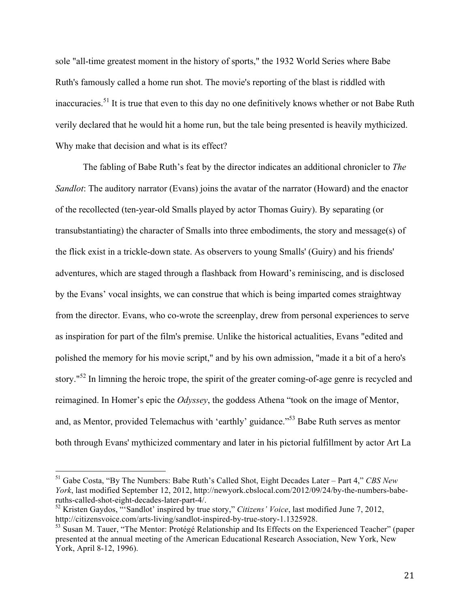sole "all-time greatest moment in the history of sports," the 1932 World Series where Babe Ruth's famously called a home run shot. The movie's reporting of the blast is riddled with inaccuracies.<sup>51</sup> It is true that even to this day no one definitively knows whether or not Babe Ruth verily declared that he would hit a home run, but the tale being presented is heavily mythicized. Why make that decision and what is its effect?

The fabling of Babe Ruth's feat by the director indicates an additional chronicler to *The Sandlot*: The auditory narrator (Evans) joins the avatar of the narrator (Howard) and the enactor of the recollected (ten-year-old Smalls played by actor Thomas Guiry). By separating (or transubstantiating) the character of Smalls into three embodiments, the story and message(s) of the flick exist in a trickle-down state. As observers to young Smalls' (Guiry) and his friends' adventures, which are staged through a flashback from Howard's reminiscing, and is disclosed by the Evans' vocal insights, we can construe that which is being imparted comes straightway from the director. Evans, who co-wrote the screenplay, drew from personal experiences to serve as inspiration for part of the film's premise. Unlike the historical actualities, Evans "edited and polished the memory for his movie script," and by his own admission, "made it a bit of a hero's story."<sup>52</sup> In limning the heroic trope, the spirit of the greater coming-of-age genre is recycled and reimagined. In Homer's epic the *Odyssey*, the goddess Athena "took on the image of Mentor, and, as Mentor, provided Telemachus with 'earthly' guidance."<sup>53</sup> Babe Ruth serves as mentor both through Evans' mythicized commentary and later in his pictorial fulfillment by actor Art La

 <sup>51</sup> Gabe Costa, "By The Numbers: Babe Ruth's Called Shot, Eight Decades Later – Part 4," *CBS New York*, last modified September 12, 2012, http://newyork.cbslocal.com/2012/09/24/by-the-numbers-baberuths-called-shot-eight-decades-later-part-4/.

<sup>52</sup> Kristen Gaydos, "'Sandlot' inspired by true story," *Citizens' Voice*, last modified June 7, 2012, http://citizensvoice.com/arts-living/sandlot-inspired-by-true-story-1.1325928.

<sup>&</sup>lt;sup>53</sup> Susan M. Tauer, "The Mentor: Protégé Relationship and Its Effects on the Experienced Teacher" (paper presented at the annual meeting of the American Educational Research Association, New York, New York, April 8-12, 1996).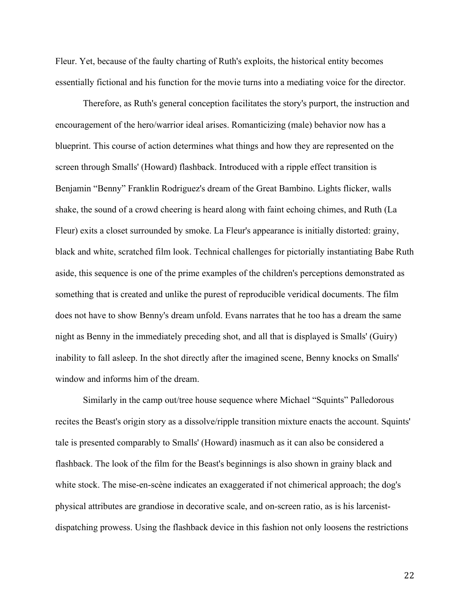Fleur. Yet, because of the faulty charting of Ruth's exploits, the historical entity becomes essentially fictional and his function for the movie turns into a mediating voice for the director.

Therefore, as Ruth's general conception facilitates the story's purport, the instruction and encouragement of the hero/warrior ideal arises. Romanticizing (male) behavior now has a blueprint. This course of action determines what things and how they are represented on the screen through Smalls' (Howard) flashback. Introduced with a ripple effect transition is Benjamin "Benny" Franklin Rodriguez's dream of the Great Bambino. Lights flicker, walls shake, the sound of a crowd cheering is heard along with faint echoing chimes, and Ruth (La Fleur) exits a closet surrounded by smoke. La Fleur's appearance is initially distorted: grainy, black and white, scratched film look. Technical challenges for pictorially instantiating Babe Ruth aside, this sequence is one of the prime examples of the children's perceptions demonstrated as something that is created and unlike the purest of reproducible veridical documents. The film does not have to show Benny's dream unfold. Evans narrates that he too has a dream the same night as Benny in the immediately preceding shot, and all that is displayed is Smalls' (Guiry) inability to fall asleep. In the shot directly after the imagined scene, Benny knocks on Smalls' window and informs him of the dream.

Similarly in the camp out/tree house sequence where Michael "Squints" Palledorous recites the Beast's origin story as a dissolve/ripple transition mixture enacts the account. Squints' tale is presented comparably to Smalls' (Howard) inasmuch as it can also be considered a flashback. The look of the film for the Beast's beginnings is also shown in grainy black and white stock. The mise-en-scène indicates an exaggerated if not chimerical approach; the dog's physical attributes are grandiose in decorative scale, and on-screen ratio, as is his larcenistdispatching prowess. Using the flashback device in this fashion not only loosens the restrictions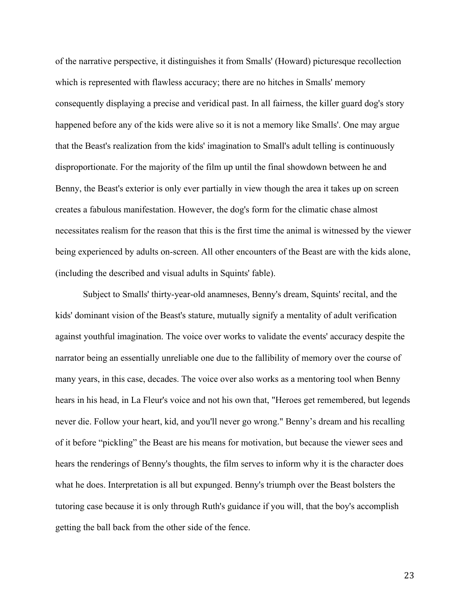of the narrative perspective, it distinguishes it from Smalls' (Howard) picturesque recollection which is represented with flawless accuracy; there are no hitches in Smalls' memory consequently displaying a precise and veridical past. In all fairness, the killer guard dog's story happened before any of the kids were alive so it is not a memory like Smalls'. One may argue that the Beast's realization from the kids' imagination to Small's adult telling is continuously disproportionate. For the majority of the film up until the final showdown between he and Benny, the Beast's exterior is only ever partially in view though the area it takes up on screen creates a fabulous manifestation. However, the dog's form for the climatic chase almost necessitates realism for the reason that this is the first time the animal is witnessed by the viewer being experienced by adults on-screen. All other encounters of the Beast are with the kids alone, (including the described and visual adults in Squints' fable).

Subject to Smalls' thirty-year-old anamneses, Benny's dream, Squints' recital, and the kids' dominant vision of the Beast's stature, mutually signify a mentality of adult verification against youthful imagination. The voice over works to validate the events' accuracy despite the narrator being an essentially unreliable one due to the fallibility of memory over the course of many years, in this case, decades. The voice over also works as a mentoring tool when Benny hears in his head, in La Fleur's voice and not his own that, "Heroes get remembered, but legends never die. Follow your heart, kid, and you'll never go wrong." Benny's dream and his recalling of it before "pickling" the Beast are his means for motivation, but because the viewer sees and hears the renderings of Benny's thoughts, the film serves to inform why it is the character does what he does. Interpretation is all but expunged. Benny's triumph over the Beast bolsters the tutoring case because it is only through Ruth's guidance if you will, that the boy's accomplish getting the ball back from the other side of the fence.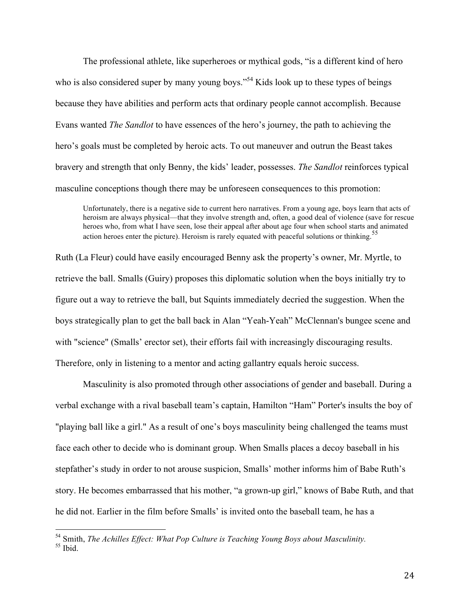The professional athlete, like superheroes or mythical gods, "is a different kind of hero who is also considered super by many young boys."<sup>54</sup> Kids look up to these types of beings because they have abilities and perform acts that ordinary people cannot accomplish. Because Evans wanted *The Sandlot* to have essences of the hero's journey, the path to achieving the hero's goals must be completed by heroic acts. To out maneuver and outrun the Beast takes bravery and strength that only Benny, the kids' leader, possesses. *The Sandlot* reinforces typical masculine conceptions though there may be unforeseen consequences to this promotion:

Unfortunately, there is a negative side to current hero narratives. From a young age, boys learn that acts of heroism are always physical—that they involve strength and, often, a good deal of violence (save for rescue heroes who, from what I have seen, lose their appeal after about age four when school starts and animated action heroes enter the picture). Heroism is rarely equated with peaceful solutions or thinking.<sup>55</sup>

Ruth (La Fleur) could have easily encouraged Benny ask the property's owner, Mr. Myrtle, to retrieve the ball. Smalls (Guiry) proposes this diplomatic solution when the boys initially try to figure out a way to retrieve the ball, but Squints immediately decried the suggestion. When the boys strategically plan to get the ball back in Alan "Yeah-Yeah" McClennan's bungee scene and with "science" (Smalls' erector set), their efforts fail with increasingly discouraging results. Therefore, only in listening to a mentor and acting gallantry equals heroic success.

Masculinity is also promoted through other associations of gender and baseball. During a verbal exchange with a rival baseball team's captain, Hamilton "Ham" Porter's insults the boy of "playing ball like a girl." As a result of one's boys masculinity being challenged the teams must face each other to decide who is dominant group. When Smalls places a decoy baseball in his stepfather's study in order to not arouse suspicion, Smalls' mother informs him of Babe Ruth's story. He becomes embarrassed that his mother, "a grown-up girl," knows of Babe Ruth, and that he did not. Earlier in the film before Smalls' is invited onto the baseball team, he has a

<sup>54</sup> Smith, *The Achilles Effect: What Pop Culture is Teaching Young Boys about Masculinity.*  $55$  Ibid.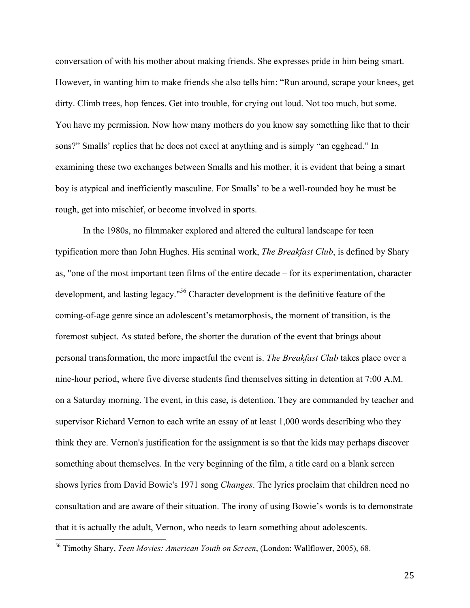conversation of with his mother about making friends. She expresses pride in him being smart. However, in wanting him to make friends she also tells him: "Run around, scrape your knees, get dirty. Climb trees, hop fences. Get into trouble, for crying out loud. Not too much, but some. You have my permission. Now how many mothers do you know say something like that to their sons?" Smalls' replies that he does not excel at anything and is simply "an egghead." In examining these two exchanges between Smalls and his mother, it is evident that being a smart boy is atypical and inefficiently masculine. For Smalls' to be a well-rounded boy he must be rough, get into mischief, or become involved in sports.

In the 1980s, no filmmaker explored and altered the cultural landscape for teen typification more than John Hughes. His seminal work, *The Breakfast Club*, is defined by Shary as, "one of the most important teen films of the entire decade – for its experimentation, character development, and lasting legacy."<sup>56</sup> Character development is the definitive feature of the coming-of-age genre since an adolescent's metamorphosis, the moment of transition, is the foremost subject. As stated before, the shorter the duration of the event that brings about personal transformation, the more impactful the event is. *The Breakfast Club* takes place over a nine-hour period, where five diverse students find themselves sitting in detention at 7:00 A.M. on a Saturday morning. The event, in this case, is detention. They are commanded by teacher and supervisor Richard Vernon to each write an essay of at least 1,000 words describing who they think they are. Vernon's justification for the assignment is so that the kids may perhaps discover something about themselves. In the very beginning of the film, a title card on a blank screen shows lyrics from David Bowie's 1971 song *Changes*. The lyrics proclaim that children need no consultation and are aware of their situation. The irony of using Bowie's words is to demonstrate that it is actually the adult, Vernon, who needs to learn something about adolescents.

 <sup>56</sup> Timothy Shary, *Teen Movies: American Youth on Screen*, (London: Wallflower, 2005), 68.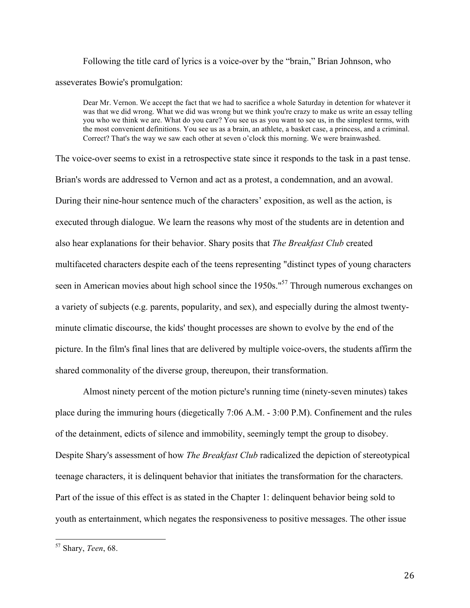Following the title card of lyrics is a voice-over by the "brain," Brian Johnson, who asseverates Bowie's promulgation:

Dear Mr. Vernon. We accept the fact that we had to sacrifice a whole Saturday in detention for whatever it was that we did wrong. What we did was wrong but we think you're crazy to make us write an essay telling you who we think we are. What do you care? You see us as you want to see us, in the simplest terms, with the most convenient definitions. You see us as a brain, an athlete, a basket case, a princess, and a criminal. Correct? That's the way we saw each other at seven o'clock this morning. We were brainwashed.

The voice-over seems to exist in a retrospective state since it responds to the task in a past tense. Brian's words are addressed to Vernon and act as a protest, a condemnation, and an avowal. During their nine-hour sentence much of the characters' exposition, as well as the action, is executed through dialogue. We learn the reasons why most of the students are in detention and also hear explanations for their behavior. Shary posits that *The Breakfast Club* created multifaceted characters despite each of the teens representing "distinct types of young characters seen in American movies about high school since the 1950s."<sup>57</sup> Through numerous exchanges on a variety of subjects (e.g. parents, popularity, and sex), and especially during the almost twentyminute climatic discourse, the kids' thought processes are shown to evolve by the end of the picture. In the film's final lines that are delivered by multiple voice-overs, the students affirm the shared commonality of the diverse group, thereupon, their transformation.

Almost ninety percent of the motion picture's running time (ninety-seven minutes) takes place during the immuring hours (diegetically 7:06 A.M. - 3:00 P.M). Confinement and the rules of the detainment, edicts of silence and immobility, seemingly tempt the group to disobey. Despite Shary's assessment of how *The Breakfast Club* radicalized the depiction of stereotypical teenage characters, it is delinquent behavior that initiates the transformation for the characters. Part of the issue of this effect is as stated in the Chapter 1: delinquent behavior being sold to youth as entertainment, which negates the responsiveness to positive messages. The other issue

 <sup>57</sup> Shary, *Teen*, 68.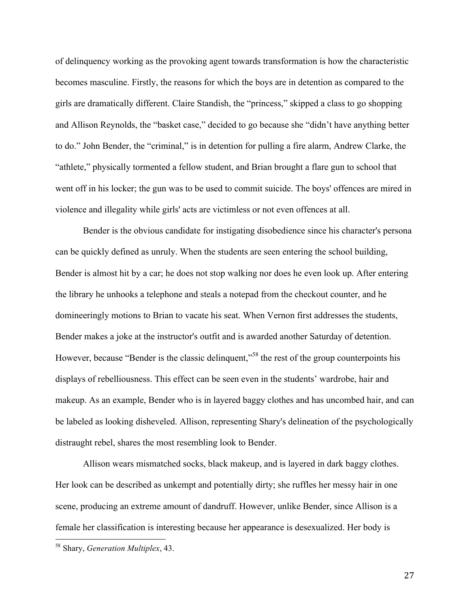of delinquency working as the provoking agent towards transformation is how the characteristic becomes masculine. Firstly, the reasons for which the boys are in detention as compared to the girls are dramatically different. Claire Standish, the "princess," skipped a class to go shopping and Allison Reynolds, the "basket case," decided to go because she "didn't have anything better to do." John Bender, the "criminal," is in detention for pulling a fire alarm, Andrew Clarke, the "athlete," physically tormented a fellow student, and Brian brought a flare gun to school that went off in his locker; the gun was to be used to commit suicide. The boys' offences are mired in violence and illegality while girls' acts are victimless or not even offences at all.

Bender is the obvious candidate for instigating disobedience since his character's persona can be quickly defined as unruly. When the students are seen entering the school building, Bender is almost hit by a car; he does not stop walking nor does he even look up. After entering the library he unhooks a telephone and steals a notepad from the checkout counter, and he domineeringly motions to Brian to vacate his seat. When Vernon first addresses the students, Bender makes a joke at the instructor's outfit and is awarded another Saturday of detention. However, because "Bender is the classic delinquent,"<sup>58</sup> the rest of the group counterpoints his displays of rebelliousness. This effect can be seen even in the students' wardrobe, hair and makeup. As an example, Bender who is in layered baggy clothes and has uncombed hair, and can be labeled as looking disheveled. Allison, representing Shary's delineation of the psychologically distraught rebel, shares the most resembling look to Bender.

Allison wears mismatched socks, black makeup, and is layered in dark baggy clothes. Her look can be described as unkempt and potentially dirty; she ruffles her messy hair in one scene, producing an extreme amount of dandruff. However, unlike Bender, since Allison is a female her classification is interesting because her appearance is desexualized. Her body is

 <sup>58</sup> Shary, *Generation Multiplex*, 43.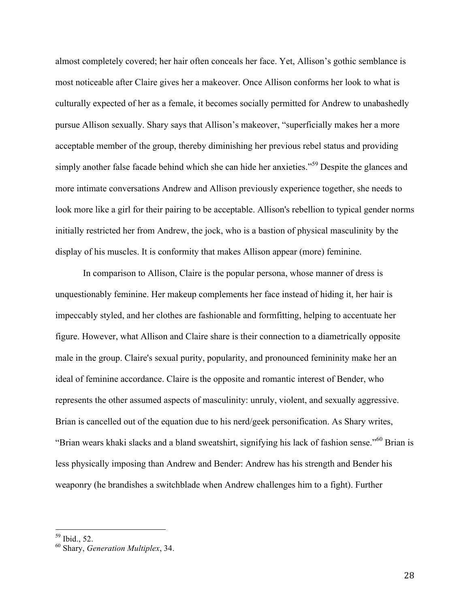almost completely covered; her hair often conceals her face. Yet, Allison's gothic semblance is most noticeable after Claire gives her a makeover. Once Allison conforms her look to what is culturally expected of her as a female, it becomes socially permitted for Andrew to unabashedly pursue Allison sexually. Shary says that Allison's makeover, "superficially makes her a more acceptable member of the group, thereby diminishing her previous rebel status and providing simply another false facade behind which she can hide her anxieties."<sup>59</sup> Despite the glances and more intimate conversations Andrew and Allison previously experience together, she needs to look more like a girl for their pairing to be acceptable. Allison's rebellion to typical gender norms initially restricted her from Andrew, the jock, who is a bastion of physical masculinity by the display of his muscles. It is conformity that makes Allison appear (more) feminine.

In comparison to Allison, Claire is the popular persona, whose manner of dress is unquestionably feminine. Her makeup complements her face instead of hiding it, her hair is impeccably styled, and her clothes are fashionable and formfitting, helping to accentuate her figure. However, what Allison and Claire share is their connection to a diametrically opposite male in the group. Claire's sexual purity, popularity, and pronounced femininity make her an ideal of feminine accordance. Claire is the opposite and romantic interest of Bender, who represents the other assumed aspects of masculinity: unruly, violent, and sexually aggressive. Brian is cancelled out of the equation due to his nerd/geek personification. As Shary writes, "Brian wears khaki slacks and a bland sweatshirt, signifying his lack of fashion sense."<sup>60</sup> Brian is less physically imposing than Andrew and Bender: Andrew has his strength and Bender his weaponry (he brandishes a switchblade when Andrew challenges him to a fight). Further

<sup>59</sup> Ibid., 52.

<sup>60</sup> Shary, *Generation Multiplex*, 34.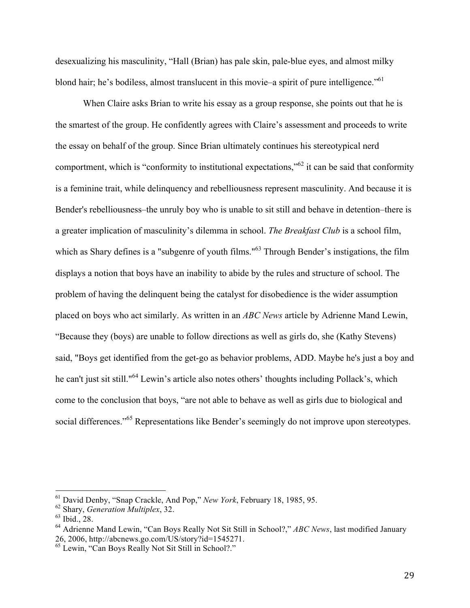desexualizing his masculinity, "Hall (Brian) has pale skin, pale-blue eyes, and almost milky blond hair; he's bodiless, almost translucent in this movie–a spirit of pure intelligence."<sup>61</sup>

When Claire asks Brian to write his essay as a group response, she points out that he is the smartest of the group. He confidently agrees with Claire's assessment and proceeds to write the essay on behalf of the group. Since Brian ultimately continues his stereotypical nerd comportment, which is "conformity to institutional expectations," $62$  it can be said that conformity is a feminine trait, while delinquency and rebelliousness represent masculinity. And because it is Bender's rebelliousness–the unruly boy who is unable to sit still and behave in detention–there is a greater implication of masculinity's dilemma in school. *The Breakfast Club* is a school film, which as Shary defines is a "subgenre of youth films."<sup>63</sup> Through Bender's instigations, the film displays a notion that boys have an inability to abide by the rules and structure of school. The problem of having the delinquent being the catalyst for disobedience is the wider assumption placed on boys who act similarly. As written in an *ABC News* article by Adrienne Mand Lewin, "Because they (boys) are unable to follow directions as well as girls do, she (Kathy Stevens) said, "Boys get identified from the get-go as behavior problems, ADD. Maybe he's just a boy and he can't just sit still."<sup>64</sup> Lewin's article also notes others' thoughts including Pollack's, which come to the conclusion that boys, "are not able to behave as well as girls due to biological and social differences."<sup>65</sup> Representations like Bender's seemingly do not improve upon stereotypes.

<sup>61</sup> David Denby, "Snap Crackle, And Pop," *New York*, February 18, 1985, 95.

<sup>62</sup> Shary, *Generation Multiplex*, 32.

 $63$  Ibid., 28.

<sup>64</sup> Adrienne Mand Lewin, "Can Boys Really Not Sit Still in School?," *ABC News*, last modified January 26, 2006, http://abcnews.go.com/US/story?id=1545271.

<sup>65</sup> Lewin, "Can Boys Really Not Sit Still in School?."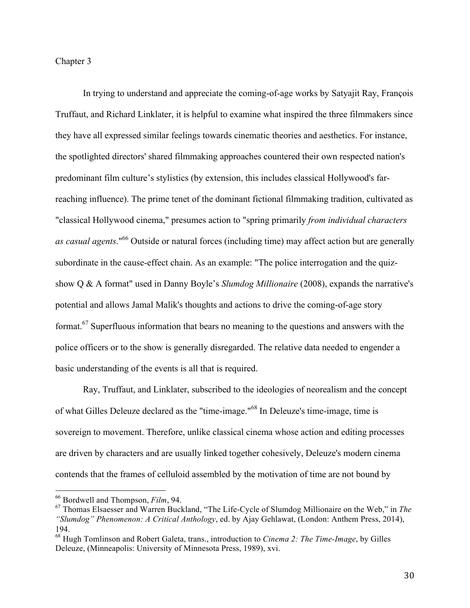### Chapter 3

In trying to understand and appreciate the coming-of-age works by Satyajit Ray, François Truffaut, and Richard Linklater, it is helpful to examine what inspired the three filmmakers since they have all expressed similar feelings towards cinematic theories and aesthetics. For instance, the spotlighted directors' shared filmmaking approaches countered their own respected nation's predominant film culture's stylistics (by extension, this includes classical Hollywood's farreaching influence). The prime tenet of the dominant fictional filmmaking tradition, cultivated as "classical Hollywood cinema," presumes action to "spring primarily *from individual characters as casual agents*."66 Outside or natural forces (including time) may affect action but are generally subordinate in the cause-effect chain. As an example: "The police interrogation and the quizshow Q & A format" used in Danny Boyle's *Slumdog Millionaire* (2008), expands the narrative's potential and allows Jamal Malik's thoughts and actions to drive the coming-of-age story format.<sup>67</sup> Superfluous information that bears no meaning to the questions and answers with the police officers or to the show is generally disregarded. The relative data needed to engender a basic understanding of the events is all that is required.

Ray, Truffaut, and Linklater, subscribed to the ideologies of neorealism and the concept of what Gilles Deleuze declared as the "time-image."<sup>68</sup> In Deleuze's time-image, time is sovereign to movement. Therefore, unlike classical cinema whose action and editing processes are driven by characters and are usually linked together cohesively, Deleuze's modern cinema contends that the frames of celluloid assembled by the motivation of time are not bound by

<sup>66</sup> Bordwell and Thompson, *Film*, 94.

<sup>67</sup> Thomas Elsaesser and Warren Buckland, "The Life-Cycle of Slumdog Millionaire on the Web," in *The "Slumdog" Phenomenon: A Critical Anthology*, ed. by Ajay Gehlawat, (London: Anthem Press, 2014), 194.

<sup>68</sup> Hugh Tomlinson and Robert Galeta, trans., introduction to *Cinema 2: The Time-Image*, by Gilles Deleuze, (Minneapolis: University of Minnesota Press, 1989), xvi.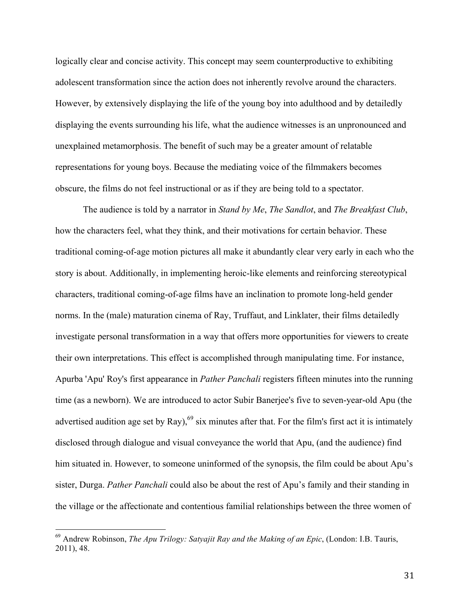logically clear and concise activity. This concept may seem counterproductive to exhibiting adolescent transformation since the action does not inherently revolve around the characters. However, by extensively displaying the life of the young boy into adulthood and by detailedly displaying the events surrounding his life, what the audience witnesses is an unpronounced and unexplained metamorphosis. The benefit of such may be a greater amount of relatable representations for young boys. Because the mediating voice of the filmmakers becomes obscure, the films do not feel instructional or as if they are being told to a spectator.

The audience is told by a narrator in *Stand by Me*, *The Sandlot*, and *The Breakfast Club*, how the characters feel, what they think, and their motivations for certain behavior. These traditional coming-of-age motion pictures all make it abundantly clear very early in each who the story is about. Additionally, in implementing heroic-like elements and reinforcing stereotypical characters, traditional coming-of-age films have an inclination to promote long-held gender norms. In the (male) maturation cinema of Ray, Truffaut, and Linklater, their films detailedly investigate personal transformation in a way that offers more opportunities for viewers to create their own interpretations. This effect is accomplished through manipulating time. For instance, Apurba 'Apu' Roy's first appearance in *Pather Panchali* registers fifteen minutes into the running time (as a newborn). We are introduced to actor Subir Banerjee's five to seven-year-old Apu (the advertised audition age set by Ray),  $^{69}$  six minutes after that. For the film's first act it is intimately disclosed through dialogue and visual conveyance the world that Apu, (and the audience) find him situated in. However, to someone uninformed of the synopsis, the film could be about Apu's sister, Durga. *Pather Panchali* could also be about the rest of Apu's family and their standing in the village or the affectionate and contentious familial relationships between the three women of

<sup>69</sup> Andrew Robinson, *The Apu Trilogy: Satyajit Ray and the Making of an Epic*, (London: I.B. Tauris, 2011), 48.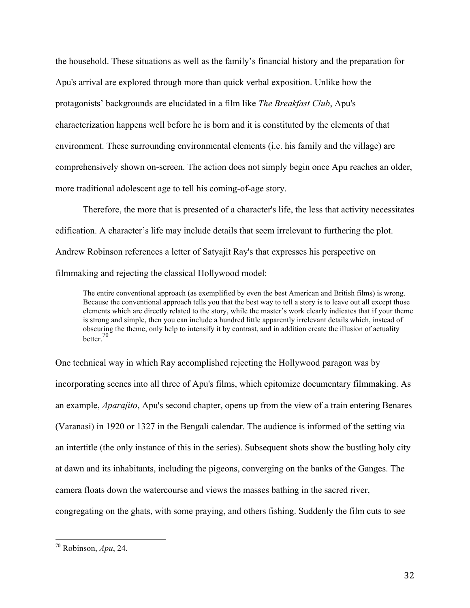the household. These situations as well as the family's financial history and the preparation for Apu's arrival are explored through more than quick verbal exposition. Unlike how the protagonists' backgrounds are elucidated in a film like *The Breakfast Club*, Apu's characterization happens well before he is born and it is constituted by the elements of that environment. These surrounding environmental elements (i.e. his family and the village) are comprehensively shown on-screen. The action does not simply begin once Apu reaches an older, more traditional adolescent age to tell his coming-of-age story.

Therefore, the more that is presented of a character's life, the less that activity necessitates edification. A character's life may include details that seem irrelevant to furthering the plot. Andrew Robinson references a letter of Satyajit Ray's that expresses his perspective on filmmaking and rejecting the classical Hollywood model:

The entire conventional approach (as exemplified by even the best American and British films) is wrong. Because the conventional approach tells you that the best way to tell a story is to leave out all except those elements which are directly related to the story, while the master's work clearly indicates that if your theme is strong and simple, then you can include a hundred little apparently irrelevant details which, instead of obscuring the theme, only help to intensify it by contrast, and in addition create the illusion of actuality better<sup>70</sup>

One technical way in which Ray accomplished rejecting the Hollywood paragon was by incorporating scenes into all three of Apu's films, which epitomize documentary filmmaking. As an example, *Aparajito*, Apu's second chapter, opens up from the view of a train entering Benares (Varanasi) in 1920 or 1327 in the Bengali calendar. The audience is informed of the setting via an intertitle (the only instance of this in the series). Subsequent shots show the bustling holy city at dawn and its inhabitants, including the pigeons, converging on the banks of the Ganges. The camera floats down the watercourse and views the masses bathing in the sacred river, congregating on the ghats, with some praying, and others fishing. Suddenly the film cuts to see

 <sup>70</sup> Robinson, *Apu*, 24.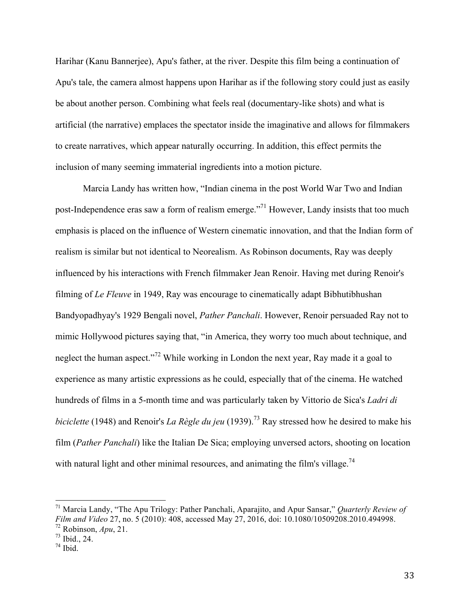Harihar (Kanu Bannerjee), Apu's father, at the river. Despite this film being a continuation of Apu's tale, the camera almost happens upon Harihar as if the following story could just as easily be about another person. Combining what feels real (documentary-like shots) and what is artificial (the narrative) emplaces the spectator inside the imaginative and allows for filmmakers to create narratives, which appear naturally occurring. In addition, this effect permits the inclusion of many seeming immaterial ingredients into a motion picture.

Marcia Landy has written how, "Indian cinema in the post World War Two and Indian post-Independence eras saw a form of realism emerge."71 However, Landy insists that too much emphasis is placed on the influence of Western cinematic innovation, and that the Indian form of realism is similar but not identical to Neorealism. As Robinson documents, Ray was deeply influenced by his interactions with French filmmaker Jean Renoir. Having met during Renoir's filming of *Le Fleuve* in 1949, Ray was encourage to cinematically adapt Bibhutibhushan Bandyopadhyay's 1929 Bengali novel, *Pather Panchali*. However, Renoir persuaded Ray not to mimic Hollywood pictures saying that, "in America, they worry too much about technique, and neglect the human aspect."<sup>72</sup> While working in London the next year, Ray made it a goal to experience as many artistic expressions as he could, especially that of the cinema. He watched hundreds of films in a 5-month time and was particularly taken by Vittorio de Sica's *Ladri di biciclette* (1948) and Renoir's *La Règle du jeu* (1939).<sup>73</sup> Ray stressed how he desired to make his film (*Pather Panchali*) like the Italian De Sica; employing unversed actors, shooting on location with natural light and other minimal resources, and animating the film's village.<sup>74</sup>

 <sup>71</sup> Marcia Landy, "The Apu Trilogy: Pather Panchali, Aparajito, and Apur Sansar," *Quarterly Review of Film and Video* 27, no. 5 (2010): 408, accessed May 27, 2016, doi: 10.1080/10509208.2010.494998. <sup>72</sup> Robinson, *Apu*, 21.

<sup>73</sup> Ibid., 24.

 $74$  Ibid.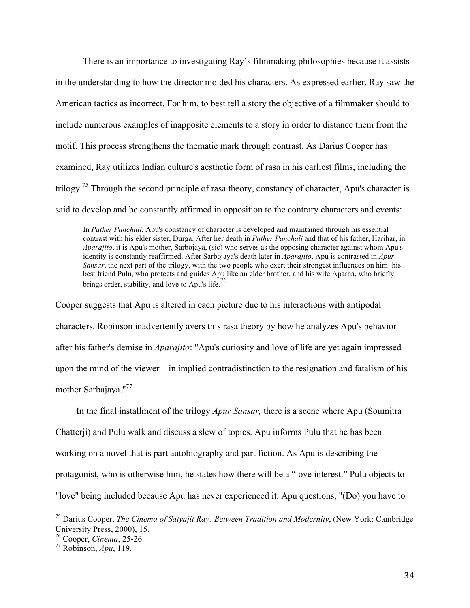There is an importance to investigating Ray's filmmaking philosophies because it assists in the understanding to how the director molded his characters. As expressed earlier, Ray saw the American tactics as incorrect. For him, to best tell a story the objective of a filmmaker should to include numerous examples of inapposite elements to a story in order to distance them from the motif. This process strengthens the thematic mark through contrast. As Darius Cooper has examined, Ray utilizes Indian culture's aesthetic form of rasa in his earliest films, including the trilogy.<sup>75</sup> Through the second principle of rasa theory, constancy of character, Apu's character is said to develop and be constantly affirmed in opposition to the contrary characters and events:

In *Pather Panchali*, Apu's constancy of character is developed and maintained through his essential contrast with his elder sister, Durga. After her death in *Pather Panchali* and that of his father, Harihar, in *Aparajito*, it is Apu's mother, Sarbojaya, (sic) who serves as the opposing character against whom Apu's identity is constantly reaffirmed. After Sarbojaya's death later in *Aparajito*, Apu is contrasted in *Apur Sansar*, the next part of the trilogy, with the two people who exert their strongest influences on him: his best friend Pulu, who protects and guides Apu like an elder brother, and his wife Aparna, who briefly brings order, stability, and love to Apu's life.<sup>76</sup>

Cooper suggests that Apu is altered in each picture due to his interactions with antipodal characters. Robinson inadvertently avers this rasa theory by how he analyzes Apu's behavior after his father's demise in *Aparajito*: "Apu's curiosity and love of life are yet again impressed upon the mind of the viewer – in implied contradistinction to the resignation and fatalism of his mother Sarbajaya."<sup>77</sup>

In the final installment of the trilogy *Apur Sansar,* there is a scene where Apu (Soumitra Chatterji) and Pulu walk and discuss a slew of topics. Apu informs Pulu that he has been working on a novel that is part autobiography and part fiction. As Apu is describing the protagonist, who is otherwise him, he states how there will be a "love interest." Pulu objects to "love" being included because Apu has never experienced it. Apu questions, "(Do) you have to

 <sup>75</sup> Darius Cooper, *The Cinema of Satyajit Ray: Between Tradition and Modernity*, (New York: Cambridge University Press, 2000), 15.

<sup>76</sup> Cooper, *Cinema*, 25-26.

<sup>77</sup> Robinson, *Apu*, 119.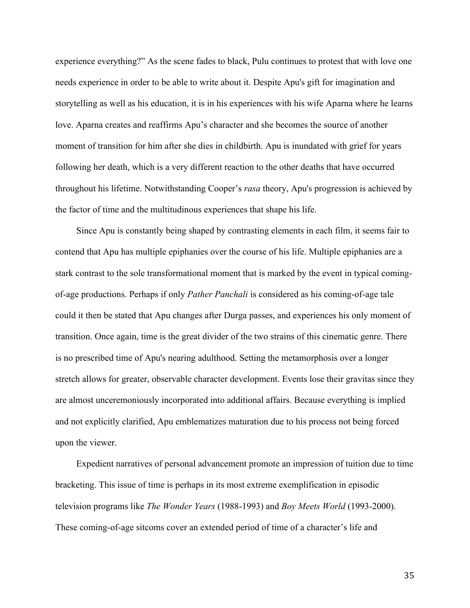experience everything?" As the scene fades to black, Pulu continues to protest that with love one needs experience in order to be able to write about it. Despite Apu's gift for imagination and storytelling as well as his education, it is in his experiences with his wife Aparna where he learns love. Aparna creates and reaffirms Apu's character and she becomes the source of another moment of transition for him after she dies in childbirth. Apu is inundated with grief for years following her death, which is a very different reaction to the other deaths that have occurred throughout his lifetime. Notwithstanding Cooper's *rasa* theory, Apu's progression is achieved by the factor of time and the multitudinous experiences that shape his life.

Since Apu is constantly being shaped by contrasting elements in each film, it seems fair to contend that Apu has multiple epiphanies over the course of his life. Multiple epiphanies are a stark contrast to the sole transformational moment that is marked by the event in typical comingof-age productions. Perhaps if only *Pather Panchali* is considered as his coming-of-age tale could it then be stated that Apu changes after Durga passes, and experiences his only moment of transition. Once again, time is the great divider of the two strains of this cinematic genre. There is no prescribed time of Apu's nearing adulthood. Setting the metamorphosis over a longer stretch allows for greater, observable character development. Events lose their gravitas since they are almost unceremoniously incorporated into additional affairs. Because everything is implied and not explicitly clarified, Apu emblematizes maturation due to his process not being forced upon the viewer.

Expedient narratives of personal advancement promote an impression of tuition due to time bracketing. This issue of time is perhaps in its most extreme exemplification in episodic television programs like *The Wonder Years* (1988-1993) and *Boy Meets World* (1993-2000). These coming-of-age sitcoms cover an extended period of time of a character's life and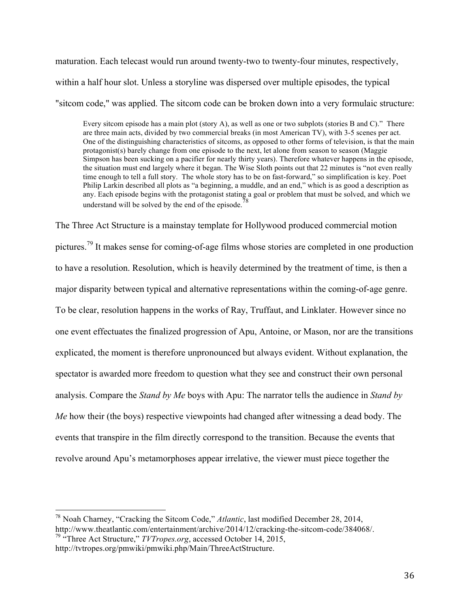maturation. Each telecast would run around twenty-two to twenty-four minutes, respectively, within a half hour slot. Unless a storyline was dispersed over multiple episodes, the typical "sitcom code," was applied. The sitcom code can be broken down into a very formulaic structure:

Every sitcom episode has a main plot (story A), as well as one or two subplots (stories B and C)." There are three main acts, divided by two commercial breaks (in most American TV), with 3-5 scenes per act. One of the distinguishing characteristics of sitcoms, as opposed to other forms of television, is that the main protagonist(s) barely change from one episode to the next, let alone from season to season (Maggie Simpson has been sucking on a pacifier for nearly thirty years). Therefore whatever happens in the episode, the situation must end largely where it began. The Wise Sloth points out that 22 minutes is "not even really time enough to tell a full story. The whole story has to be on fast-forward," so simplification is key. Poet Philip Larkin described all plots as "a beginning, a muddle, and an end," which is as good a description as any. Each episode begins with the protagonist stating a goal or problem that must be solved, and which we understand will be solved by the end of the episode.<sup>7</sup>

The Three Act Structure is a mainstay template for Hollywood produced commercial motion pictures.<sup>79</sup> It makes sense for coming-of-age films whose stories are completed in one production to have a resolution. Resolution, which is heavily determined by the treatment of time, is then a major disparity between typical and alternative representations within the coming-of-age genre. To be clear, resolution happens in the works of Ray, Truffaut, and Linklater. However since no one event effectuates the finalized progression of Apu, Antoine, or Mason, nor are the transitions explicated, the moment is therefore unpronounced but always evident. Without explanation, the spectator is awarded more freedom to question what they see and construct their own personal analysis. Compare the *Stand by Me* boys with Apu: The narrator tells the audience in *Stand by Me* how their (the boys) respective viewpoints had changed after witnessing a dead body. The events that transpire in the film directly correspond to the transition. Because the events that revolve around Apu's metamorphoses appear irrelative, the viewer must piece together the

 <sup>78</sup> Noah Charney, "Cracking the Sitcom Code," *Atlantic*, last modified December 28, 2014, http://www.theatlantic.com/entertainment/archive/2014/12/cracking-the-sitcom-code/384068/. <sup>79</sup> "Three Act Structure," *TVTropes.org*, accessed October 14, 2015,

http://tvtropes.org/pmwiki/pmwiki.php/Main/ThreeActStructure.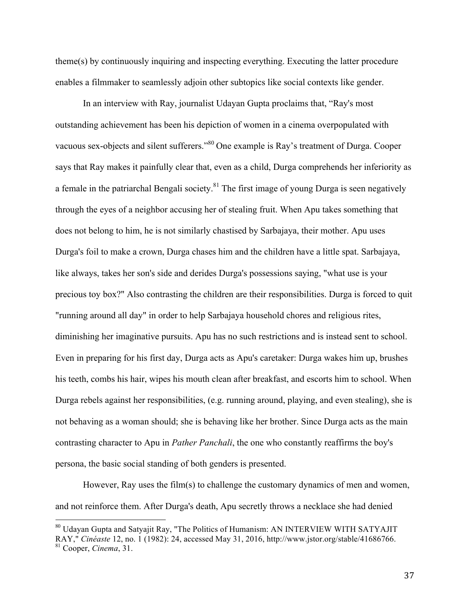theme(s) by continuously inquiring and inspecting everything. Executing the latter procedure enables a filmmaker to seamlessly adjoin other subtopics like social contexts like gender.

In an interview with Ray, journalist Udayan Gupta proclaims that, "Ray's most outstanding achievement has been his depiction of women in a cinema overpopulated with vacuous sex-objects and silent sufferers."<sup>80</sup> One example is Ray's treatment of Durga. Cooper says that Ray makes it painfully clear that, even as a child, Durga comprehends her inferiority as a female in the patriarchal Bengali society. $81$  The first image of young Durga is seen negatively through the eyes of a neighbor accusing her of stealing fruit. When Apu takes something that does not belong to him, he is not similarly chastised by Sarbajaya, their mother. Apu uses Durga's foil to make a crown, Durga chases him and the children have a little spat. Sarbajaya, like always, takes her son's side and derides Durga's possessions saying, "what use is your precious toy box?" Also contrasting the children are their responsibilities. Durga is forced to quit "running around all day" in order to help Sarbajaya household chores and religious rites, diminishing her imaginative pursuits. Apu has no such restrictions and is instead sent to school. Even in preparing for his first day, Durga acts as Apu's caretaker: Durga wakes him up, brushes his teeth, combs his hair, wipes his mouth clean after breakfast, and escorts him to school. When Durga rebels against her responsibilities, (e.g. running around, playing, and even stealing), she is not behaving as a woman should; she is behaving like her brother. Since Durga acts as the main contrasting character to Apu in *Pather Panchali*, the one who constantly reaffirms the boy's persona, the basic social standing of both genders is presented.

However, Ray uses the film(s) to challenge the customary dynamics of men and women, and not reinforce them. After Durga's death, Apu secretly throws a necklace she had denied

<sup>&</sup>lt;sup>80</sup> Udayan Gupta and Satyajit Ray, "The Politics of Humanism: AN INTERVIEW WITH SATYAJIT RAY," *Cinéaste* 12, no. 1 (1982): 24, accessed May 31, 2016, http://www.jstor.org/stable/41686766.

<sup>81</sup> Cooper, *Cinema*, 31.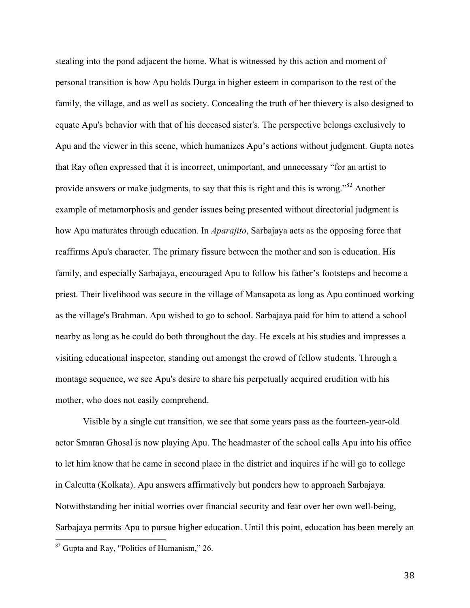stealing into the pond adjacent the home. What is witnessed by this action and moment of personal transition is how Apu holds Durga in higher esteem in comparison to the rest of the family, the village, and as well as society. Concealing the truth of her thievery is also designed to equate Apu's behavior with that of his deceased sister's. The perspective belongs exclusively to Apu and the viewer in this scene, which humanizes Apu's actions without judgment. Gupta notes that Ray often expressed that it is incorrect, unimportant, and unnecessary "for an artist to provide answers or make judgments, to say that this is right and this is wrong."82 Another example of metamorphosis and gender issues being presented without directorial judgment is how Apu maturates through education. In *Aparajito*, Sarbajaya acts as the opposing force that reaffirms Apu's character. The primary fissure between the mother and son is education. His family, and especially Sarbajaya, encouraged Apu to follow his father's footsteps and become a priest. Their livelihood was secure in the village of Mansapota as long as Apu continued working as the village's Brahman. Apu wished to go to school. Sarbajaya paid for him to attend a school nearby as long as he could do both throughout the day. He excels at his studies and impresses a visiting educational inspector, standing out amongst the crowd of fellow students. Through a montage sequence, we see Apu's desire to share his perpetually acquired erudition with his mother, who does not easily comprehend.

Visible by a single cut transition, we see that some years pass as the fourteen-year-old actor Smaran Ghosal is now playing Apu. The headmaster of the school calls Apu into his office to let him know that he came in second place in the district and inquires if he will go to college in Calcutta (Kolkata). Apu answers affirmatively but ponders how to approach Sarbajaya. Notwithstanding her initial worries over financial security and fear over her own well-being, Sarbajaya permits Apu to pursue higher education. Until this point, education has been merely an

 <sup>82</sup> Gupta and Ray, "Politics of Humanism," 26.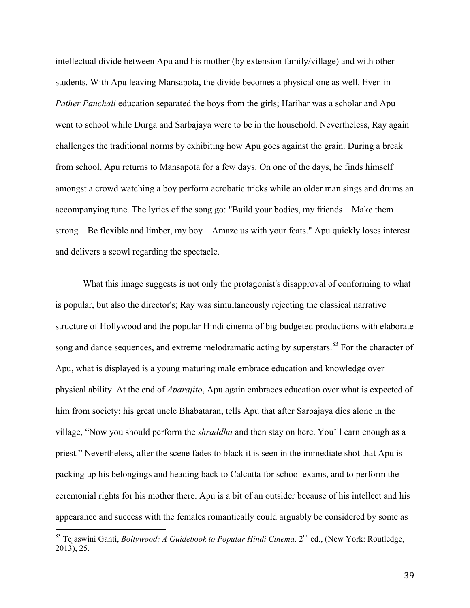intellectual divide between Apu and his mother (by extension family/village) and with other students. With Apu leaving Mansapota, the divide becomes a physical one as well. Even in *Pather Panchali* education separated the boys from the girls; Harihar was a scholar and Apu went to school while Durga and Sarbajaya were to be in the household. Nevertheless, Ray again challenges the traditional norms by exhibiting how Apu goes against the grain. During a break from school, Apu returns to Mansapota for a few days. On one of the days, he finds himself amongst a crowd watching a boy perform acrobatic tricks while an older man sings and drums an accompanying tune. The lyrics of the song go: "Build your bodies, my friends – Make them strong – Be flexible and limber, my boy – Amaze us with your feats." Apu quickly loses interest and delivers a scowl regarding the spectacle.

What this image suggests is not only the protagonist's disapproval of conforming to what is popular, but also the director's; Ray was simultaneously rejecting the classical narrative structure of Hollywood and the popular Hindi cinema of big budgeted productions with elaborate song and dance sequences, and extreme melodramatic acting by superstars.<sup>83</sup> For the character of Apu, what is displayed is a young maturing male embrace education and knowledge over physical ability. At the end of *Aparajito*, Apu again embraces education over what is expected of him from society; his great uncle Bhabataran, tells Apu that after Sarbajaya dies alone in the village, "Now you should perform the *shraddha* and then stay on here. You'll earn enough as a priest." Nevertheless, after the scene fades to black it is seen in the immediate shot that Apu is packing up his belongings and heading back to Calcutta for school exams, and to perform the ceremonial rights for his mother there. Apu is a bit of an outsider because of his intellect and his appearance and success with the females romantically could arguably be considered by some as

<sup>&</sup>lt;sup>83</sup> Tejaswini Ganti, *Bollywood: A Guidebook to Popular Hindi Cinema*. 2<sup>nd</sup> ed., (New York: Routledge, 2013), 25.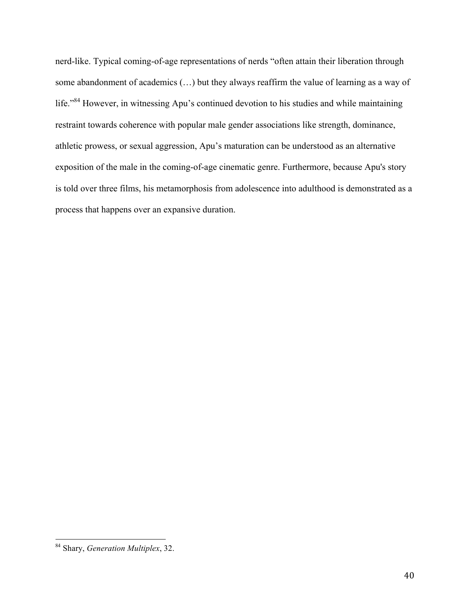nerd-like. Typical coming-of-age representations of nerds "often attain their liberation through some abandonment of academics (…) but they always reaffirm the value of learning as a way of life."<sup>84</sup> However, in witnessing Apu's continued devotion to his studies and while maintaining restraint towards coherence with popular male gender associations like strength, dominance, athletic prowess, or sexual aggression, Apu's maturation can be understood as an alternative exposition of the male in the coming-of-age cinematic genre. Furthermore, because Apu's story is told over three films, his metamorphosis from adolescence into adulthood is demonstrated as a process that happens over an expansive duration.

 <sup>84</sup> Shary, *Generation Multiplex*, 32.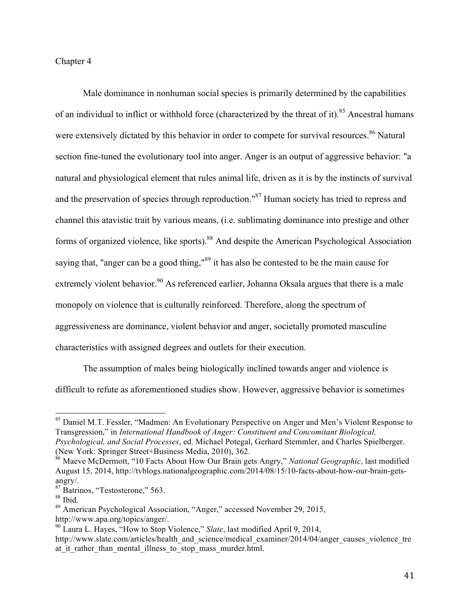Chapter 4

Male dominance in nonhuman social species is primarily determined by the capabilities of an individual to inflict or withhold force (characterized by the threat of it).<sup>85</sup> Ancestral humans were extensively dictated by this behavior in order to compete for survival resources.<sup>86</sup> Natural section fine-tuned the evolutionary tool into anger. Anger is an output of aggressive behavior: "a natural and physiological element that rules animal life, driven as it is by the instincts of survival and the preservation of species through reproduction."87 Human society has tried to repress and channel this atavistic trait by various means, (i.e. sublimating dominance into prestige and other forms of organized violence, like sports).<sup>88</sup> And despite the American Psychological Association saying that, "anger can be a good thing,"<sup>89</sup> it has also be contested to be the main cause for extremely violent behavior.<sup>90</sup> As referenced earlier, Johanna Oksala argues that there is a male monopoly on violence that is culturally reinforced. Therefore, along the spectrum of aggressiveness are dominance, violent behavior and anger, societally promoted masculine characteristics with assigned degrees and outlets for their execution.

The assumption of males being biologically inclined towards anger and violence is difficult to refute as aforementioned studies show. However, aggressive behavior is sometimes

<sup>&</sup>lt;sup>85</sup> Daniel M.T. Fessler, "Madmen: An Evolutionary Perspective on Anger and Men's Violent Response to Transgression," in *International Handbook of Anger: Constituent and Concomitant Biological, Psychological, and Social Processes*, ed. Michael Potegal, Gerhard Stemmler, and Charles Spielberger. (New York: Springer Street+Business Media, 2010), 362.

<sup>86</sup> Maeve McDermott, "10 Facts About How Our Brain gets Angry," *National Geographic*, last modified August 15, 2014, http://tvblogs.nationalgeographic.com/2014/08/15/10-facts-about-how-our-brain-getsangry/.

<sup>87</sup> Batrinos, "Testosterone," 563.

<sup>88</sup> Ibid.

<sup>89</sup> American Psychological Association, "Anger," accessed November 29, 2015, http://www.apa.org/topics/anger/.

<sup>90</sup> Laura L. Hayes, "How to Stop Violence," *Slate*, last modified April 9, 2014, http://www.slate.com/articles/health\_and\_science/medical\_examiner/2014/04/anger\_causes\_violence\_tre at it rather than mental illness to stop mass murder.html.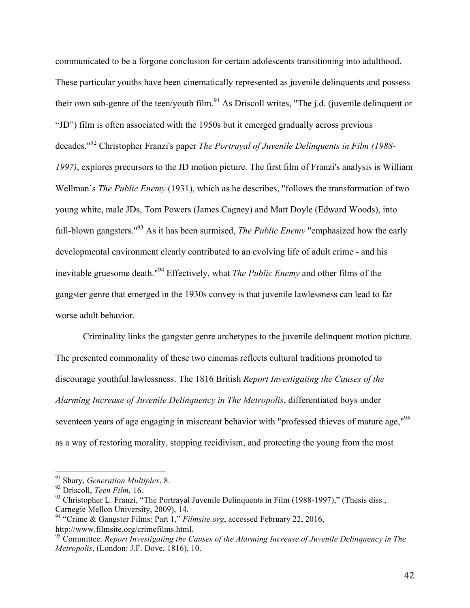communicated to be a forgone conclusion for certain adolescents transitioning into adulthood. These particular youths have been cinematically represented as juvenile delinquents and possess their own sub-genre of the teen/youth film.<sup>91</sup> As Driscoll writes, "The j.d. (juvenile delinquent or "JD") film is often associated with the 1950s but it emerged gradually across previous decades."92 Christopher Franzi's paper *The Portrayal of Juvenile Delinquents in Film (1988- 1997)*, explores precursors to the JD motion picture. The first film of Franzi's analysis is William Wellman's *The Public Enemy* (1931), which as he describes, "follows the transformation of two young white, male JDs, Tom Powers (James Cagney) and Matt Doyle (Edward Woods), into full-blown gangsters."93 As it has been surmised, *The Public Enemy* "emphasized how the early developmental environment clearly contributed to an evolving life of adult crime - and his inevitable gruesome death."<sup>94</sup> Effectively, what *The Public Enemy* and other films of the gangster genre that emerged in the 1930s convey is that juvenile lawlessness can lead to far worse adult behavior.

Criminality links the gangster genre archetypes to the juvenile delinquent motion picture. The presented commonality of these two cinemas reflects cultural traditions promoted to discourage youthful lawlessness. The 1816 British *Report Investigating the Causes of the Alarming Increase of Juvenile Delinquency in The Metropolis*, differentiated boys under seventeen years of age engaging in miscreant behavior with "professed thieves of mature age."<sup>95</sup> as a way of restoring morality, stopping recidivism, and protecting the young from the most

 <sup>91</sup> Shary, *Generation Multiplex*, 8.

<sup>92</sup> Driscoll, *Teen Film*, 16.

<sup>&</sup>lt;sup>93</sup> Christopher L. Franzi, "The Portrayal Juvenile Delinquents in Film (1988-1997)," (Thesis diss., Carnegie Mellon University, 2009), 14.

<sup>94</sup> "Crime & Gangster Films: Part 1," *Filmsite.org*, accessed February 22, 2016, http://www.filmsite.org/crimefilms.html.

<sup>95</sup> Committee. *Report Investigating the Causes of the Alarming Increase of Juvenile Delinquency in The Metropolis*, (London: J.F. Dove, 1816), 10.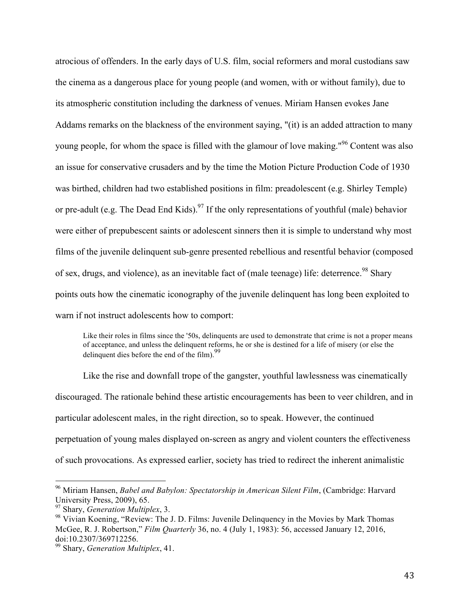atrocious of offenders. In the early days of U.S. film, social reformers and moral custodians saw the cinema as a dangerous place for young people (and women, with or without family), due to its atmospheric constitution including the darkness of venues. Miriam Hansen evokes Jane Addams remarks on the blackness of the environment saying, "(it) is an added attraction to many young people, for whom the space is filled with the glamour of love making."<sup>96</sup> Content was also an issue for conservative crusaders and by the time the Motion Picture Production Code of 1930 was birthed, children had two established positions in film: preadolescent (e.g. Shirley Temple) or pre-adult (e.g. The Dead End Kids).<sup>97</sup> If the only representations of youthful (male) behavior were either of prepubescent saints or adolescent sinners then it is simple to understand why most films of the juvenile delinquent sub-genre presented rebellious and resentful behavior (composed of sex, drugs, and violence), as an inevitable fact of (male teenage) life: deterrence.<sup>98</sup> Shary points outs how the cinematic iconography of the juvenile delinquent has long been exploited to warn if not instruct adolescents how to comport:

Like their roles in films since the '50s, delinquents are used to demonstrate that crime is not a proper means of acceptance, and unless the delinquent reforms, he or she is destined for a life of misery (or else the delinquent dies before the end of the film).  $99$ 

Like the rise and downfall trope of the gangster, youthful lawlessness was cinematically discouraged. The rationale behind these artistic encouragements has been to veer children, and in particular adolescent males, in the right direction, so to speak. However, the continued perpetuation of young males displayed on-screen as angry and violent counters the effectiveness of such provocations. As expressed earlier, society has tried to redirect the inherent animalistic

<sup>96</sup> Miriam Hansen, *Babel and Babylon: Spectatorship in American Silent Film*, (Cambridge: Harvard University Press, 2009), 65.

<sup>97</sup> Shary, *Generation Multiplex*, 3.

<sup>&</sup>lt;sup>98</sup> Vivian Koening, "Review: The J. D. Films: Juvenile Delinquency in the Movies by Mark Thomas McGee, R. J. Robertson," *Film Quarterly* 36, no. 4 (July 1, 1983): 56, accessed January 12, 2016, doi:10.2307/369712256.

<sup>99</sup> Shary, *Generation Multiplex*, 41.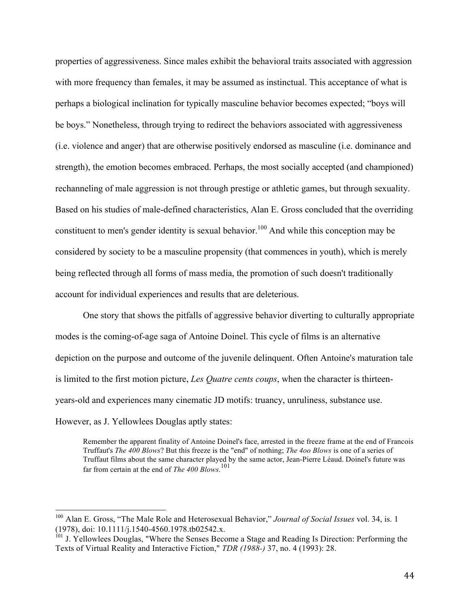properties of aggressiveness. Since males exhibit the behavioral traits associated with aggression with more frequency than females, it may be assumed as instinctual. This acceptance of what is perhaps a biological inclination for typically masculine behavior becomes expected; "boys will be boys." Nonetheless, through trying to redirect the behaviors associated with aggressiveness (i.e. violence and anger) that are otherwise positively endorsed as masculine (i.e. dominance and strength), the emotion becomes embraced. Perhaps, the most socially accepted (and championed) rechanneling of male aggression is not through prestige or athletic games, but through sexuality. Based on his studies of male-defined characteristics, Alan E. Gross concluded that the overriding constituent to men's gender identity is sexual behavior.<sup>100</sup> And while this conception may be considered by society to be a masculine propensity (that commences in youth), which is merely being reflected through all forms of mass media, the promotion of such doesn't traditionally account for individual experiences and results that are deleterious.

One story that shows the pitfalls of aggressive behavior diverting to culturally appropriate modes is the coming-of-age saga of Antoine Doinel. This cycle of films is an alternative depiction on the purpose and outcome of the juvenile delinquent. Often Antoine's maturation tale is limited to the first motion picture, *Les Quatre cents coups*, when the character is thirteenyears-old and experiences many cinematic JD motifs: truancy, unruliness, substance use. However, as J. Yellowlees Douglas aptly states:

Remember the apparent finality of Antoine Doinel's face, arrested in the freeze frame at the end of Francois Truffaut's *The 400 Blows*? But this freeze is the "end" of nothing; *The 4oo Blows* is one of a series of Truffaut films about the same character played by the same actor, Jean-Pierre Léaud. Doinel's future was far from certain at the end of *The 400 Blows*. 101

<sup>&</sup>lt;sup>100</sup> Alan E. Gross, "The Male Role and Heterosexual Behavior," *Journal of Social Issues* vol. 34, is. 1 (1978), doi: 10.1111/j.1540-4560.1978.tb02542.x.

<sup>&</sup>lt;sup>101</sup> J. Yellowlees Douglas, "Where the Senses Become a Stage and Reading Is Direction: Performing the Texts of Virtual Reality and Interactive Fiction," *TDR (1988-)* 37, no. 4 (1993): 28.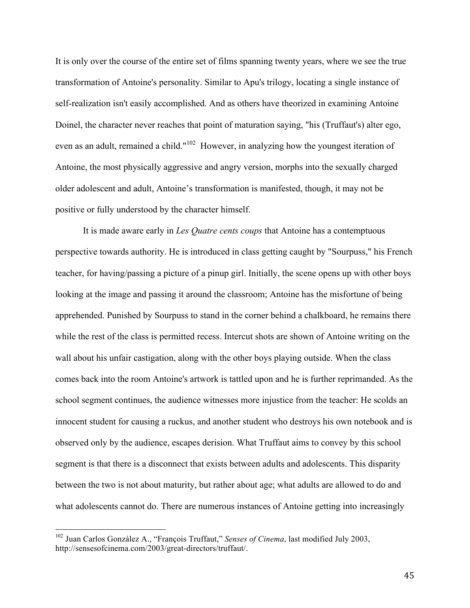It is only over the course of the entire set of films spanning twenty years, where we see the true transformation of Antoine's personality. Similar to Apu's trilogy, locating a single instance of self-realization isn't easily accomplished. And as others have theorized in examining Antoine Doinel, the character never reaches that point of maturation saying, "his (Truffaut's) alter ego, even as an adult, remained a child."102 However, in analyzing how the youngest iteration of Antoine, the most physically aggressive and angry version, morphs into the sexually charged older adolescent and adult, Antoine's transformation is manifested, though, it may not be positive or fully understood by the character himself.

It is made aware early in *Les Quatre cents coups* that Antoine has a contemptuous perspective towards authority. He is introduced in class getting caught by "Sourpuss," his French teacher, for having/passing a picture of a pinup girl. Initially, the scene opens up with other boys looking at the image and passing it around the classroom; Antoine has the misfortune of being apprehended. Punished by Sourpuss to stand in the corner behind a chalkboard, he remains there while the rest of the class is permitted recess. Intercut shots are shown of Antoine writing on the wall about his unfair castigation, along with the other boys playing outside. When the class comes back into the room Antoine's artwork is tattled upon and he is further reprimanded. As the school segment continues, the audience witnesses more injustice from the teacher: He scolds an innocent student for causing a ruckus, and another student who destroys his own notebook and is observed only by the audience, escapes derision. What Truffaut aims to convey by this school segment is that there is a disconnect that exists between adults and adolescents. This disparity between the two is not about maturity, but rather about age; what adults are allowed to do and what adolescents cannot do. There are numerous instances of Antoine getting into increasingly

<sup>102</sup> Juan Carlos González A., "François Truffaut," *Senses of Cinema*, last modified July 2003, http://sensesofcinema.com/2003/great-directors/truffaut/.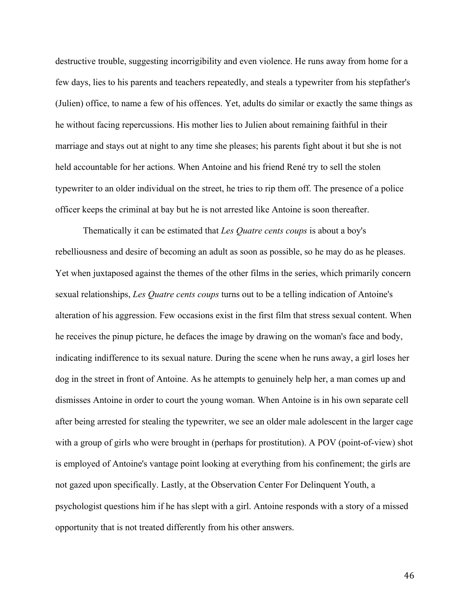destructive trouble, suggesting incorrigibility and even violence. He runs away from home for a few days, lies to his parents and teachers repeatedly, and steals a typewriter from his stepfather's (Julien) office, to name a few of his offences. Yet, adults do similar or exactly the same things as he without facing repercussions. His mother lies to Julien about remaining faithful in their marriage and stays out at night to any time she pleases; his parents fight about it but she is not held accountable for her actions. When Antoine and his friend René try to sell the stolen typewriter to an older individual on the street, he tries to rip them off. The presence of a police officer keeps the criminal at bay but he is not arrested like Antoine is soon thereafter.

Thematically it can be estimated that *Les Quatre cents coups* is about a boy's rebelliousness and desire of becoming an adult as soon as possible, so he may do as he pleases. Yet when juxtaposed against the themes of the other films in the series, which primarily concern sexual relationships, *Les Quatre cents coups* turns out to be a telling indication of Antoine's alteration of his aggression. Few occasions exist in the first film that stress sexual content. When he receives the pinup picture, he defaces the image by drawing on the woman's face and body, indicating indifference to its sexual nature. During the scene when he runs away, a girl loses her dog in the street in front of Antoine. As he attempts to genuinely help her, a man comes up and dismisses Antoine in order to court the young woman. When Antoine is in his own separate cell after being arrested for stealing the typewriter, we see an older male adolescent in the larger cage with a group of girls who were brought in (perhaps for prostitution). A POV (point-of-view) shot is employed of Antoine's vantage point looking at everything from his confinement; the girls are not gazed upon specifically. Lastly, at the Observation Center For Delinquent Youth, a psychologist questions him if he has slept with a girl. Antoine responds with a story of a missed opportunity that is not treated differently from his other answers.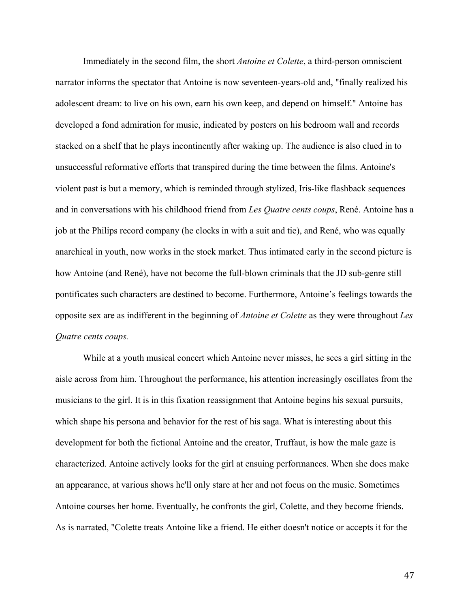Immediately in the second film, the short *Antoine et Colette*, a third-person omniscient narrator informs the spectator that Antoine is now seventeen-years-old and, "finally realized his adolescent dream: to live on his own, earn his own keep, and depend on himself." Antoine has developed a fond admiration for music, indicated by posters on his bedroom wall and records stacked on a shelf that he plays incontinently after waking up. The audience is also clued in to unsuccessful reformative efforts that transpired during the time between the films. Antoine's violent past is but a memory, which is reminded through stylized, Iris-like flashback sequences and in conversations with his childhood friend from *Les Quatre cents coups*, René. Antoine has a job at the Philips record company (he clocks in with a suit and tie), and René, who was equally anarchical in youth, now works in the stock market. Thus intimated early in the second picture is how Antoine (and René), have not become the full-blown criminals that the JD sub-genre still pontificates such characters are destined to become. Furthermore, Antoine's feelings towards the opposite sex are as indifferent in the beginning of *Antoine et Colette* as they were throughout *Les Quatre cents coups.*

While at a youth musical concert which Antoine never misses, he sees a girl sitting in the aisle across from him. Throughout the performance, his attention increasingly oscillates from the musicians to the girl. It is in this fixation reassignment that Antoine begins his sexual pursuits, which shape his persona and behavior for the rest of his saga. What is interesting about this development for both the fictional Antoine and the creator, Truffaut, is how the male gaze is characterized. Antoine actively looks for the girl at ensuing performances. When she does make an appearance, at various shows he'll only stare at her and not focus on the music. Sometimes Antoine courses her home. Eventually, he confronts the girl, Colette, and they become friends. As is narrated, "Colette treats Antoine like a friend. He either doesn't notice or accepts it for the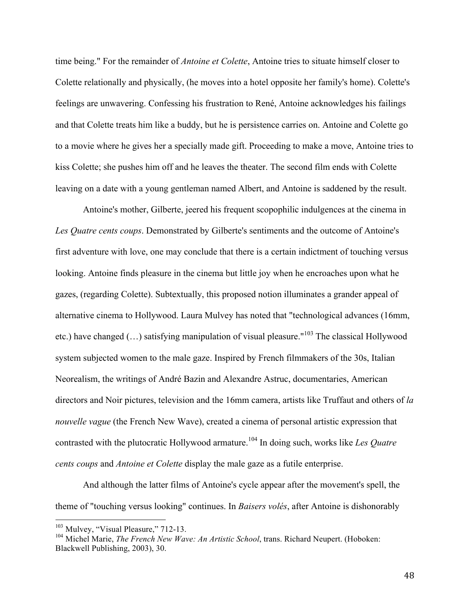time being." For the remainder of *Antoine et Colette*, Antoine tries to situate himself closer to Colette relationally and physically, (he moves into a hotel opposite her family's home). Colette's feelings are unwavering. Confessing his frustration to René, Antoine acknowledges his failings and that Colette treats him like a buddy, but he is persistence carries on. Antoine and Colette go to a movie where he gives her a specially made gift. Proceeding to make a move, Antoine tries to kiss Colette; she pushes him off and he leaves the theater. The second film ends with Colette leaving on a date with a young gentleman named Albert, and Antoine is saddened by the result.

Antoine's mother, Gilberte, jeered his frequent scopophilic indulgences at the cinema in *Les Quatre cents coups*. Demonstrated by Gilberte's sentiments and the outcome of Antoine's first adventure with love, one may conclude that there is a certain indictment of touching versus looking. Antoine finds pleasure in the cinema but little joy when he encroaches upon what he gazes, (regarding Colette). Subtextually, this proposed notion illuminates a grander appeal of alternative cinema to Hollywood. Laura Mulvey has noted that "technological advances (16mm, etc.) have changed  $(...)$  satisfying manipulation of visual pleasure."<sup>103</sup> The classical Hollywood system subjected women to the male gaze. Inspired by French filmmakers of the 30s, Italian Neorealism, the writings of André Bazin and Alexandre Astruc, documentaries, American directors and Noir pictures, television and the 16mm camera, artists like Truffaut and others of *la nouvelle vague* (the French New Wave), created a cinema of personal artistic expression that contrasted with the plutocratic Hollywood armature.<sup>104</sup> In doing such, works like *Les Quatre cents coups* and *Antoine et Colette* display the male gaze as a futile enterprise.

And although the latter films of Antoine's cycle appear after the movement's spell, the theme of "touching versus looking" continues. In *Baisers volés*, after Antoine is dishonorably

<sup>&</sup>lt;sup>103</sup> Mulvey, "Visual Pleasure," 712-13.

<sup>104</sup> Michel Marie, *The French New Wave: An Artistic School*, trans. Richard Neupert. (Hoboken: Blackwell Publishing, 2003), 30.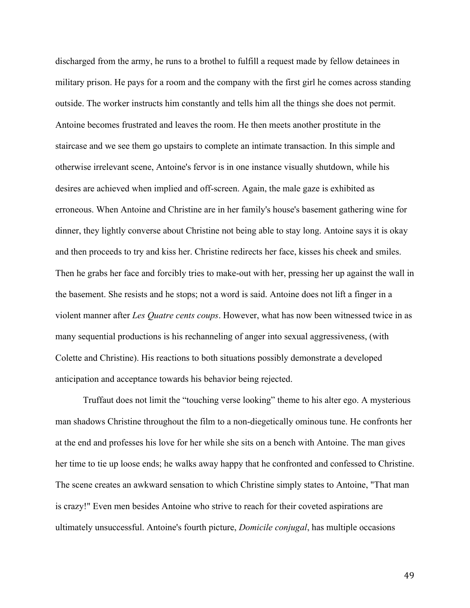discharged from the army, he runs to a brothel to fulfill a request made by fellow detainees in military prison. He pays for a room and the company with the first girl he comes across standing outside. The worker instructs him constantly and tells him all the things she does not permit. Antoine becomes frustrated and leaves the room. He then meets another prostitute in the staircase and we see them go upstairs to complete an intimate transaction. In this simple and otherwise irrelevant scene, Antoine's fervor is in one instance visually shutdown, while his desires are achieved when implied and off-screen. Again, the male gaze is exhibited as erroneous. When Antoine and Christine are in her family's house's basement gathering wine for dinner, they lightly converse about Christine not being able to stay long. Antoine says it is okay and then proceeds to try and kiss her. Christine redirects her face, kisses his cheek and smiles. Then he grabs her face and forcibly tries to make-out with her, pressing her up against the wall in the basement. She resists and he stops; not a word is said. Antoine does not lift a finger in a violent manner after *Les Quatre cents coups*. However, what has now been witnessed twice in as many sequential productions is his rechanneling of anger into sexual aggressiveness, (with Colette and Christine). His reactions to both situations possibly demonstrate a developed anticipation and acceptance towards his behavior being rejected.

Truffaut does not limit the "touching verse looking" theme to his alter ego. A mysterious man shadows Christine throughout the film to a non-diegetically ominous tune. He confronts her at the end and professes his love for her while she sits on a bench with Antoine. The man gives her time to tie up loose ends; he walks away happy that he confronted and confessed to Christine. The scene creates an awkward sensation to which Christine simply states to Antoine, "That man is crazy!" Even men besides Antoine who strive to reach for their coveted aspirations are ultimately unsuccessful. Antoine's fourth picture, *Domicile conjugal*, has multiple occasions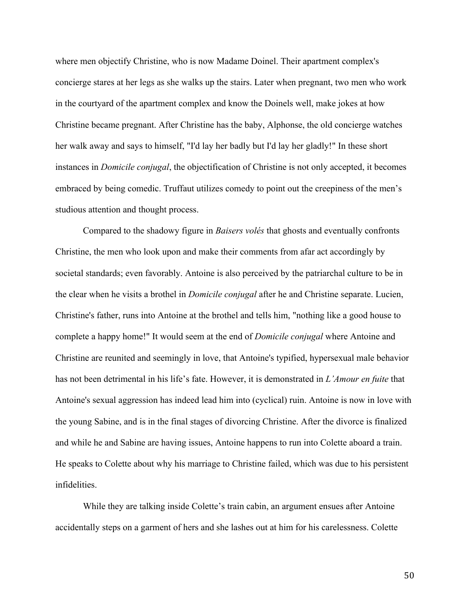where men objectify Christine, who is now Madame Doinel. Their apartment complex's concierge stares at her legs as she walks up the stairs. Later when pregnant, two men who work in the courtyard of the apartment complex and know the Doinels well, make jokes at how Christine became pregnant. After Christine has the baby, Alphonse, the old concierge watches her walk away and says to himself, "I'd lay her badly but I'd lay her gladly!" In these short instances in *Domicile conjugal*, the objectification of Christine is not only accepted, it becomes embraced by being comedic. Truffaut utilizes comedy to point out the creepiness of the men's studious attention and thought process.

Compared to the shadowy figure in *Baisers volés* that ghosts and eventually confronts Christine, the men who look upon and make their comments from afar act accordingly by societal standards; even favorably. Antoine is also perceived by the patriarchal culture to be in the clear when he visits a brothel in *Domicile conjugal* after he and Christine separate. Lucien, Christine's father, runs into Antoine at the brothel and tells him, "nothing like a good house to complete a happy home!" It would seem at the end of *Domicile conjugal* where Antoine and Christine are reunited and seemingly in love, that Antoine's typified, hypersexual male behavior has not been detrimental in his life's fate. However, it is demonstrated in *L'Amour en fuite* that Antoine's sexual aggression has indeed lead him into (cyclical) ruin. Antoine is now in love with the young Sabine, and is in the final stages of divorcing Christine. After the divorce is finalized and while he and Sabine are having issues, Antoine happens to run into Colette aboard a train. He speaks to Colette about why his marriage to Christine failed, which was due to his persistent infidelities.

While they are talking inside Colette's train cabin, an argument ensues after Antoine accidentally steps on a garment of hers and she lashes out at him for his carelessness. Colette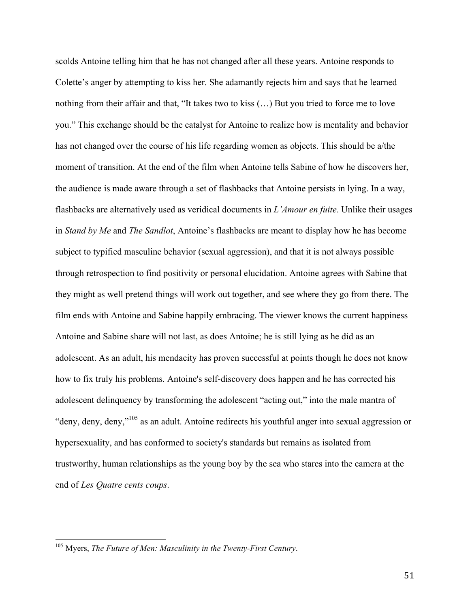scolds Antoine telling him that he has not changed after all these years. Antoine responds to Colette's anger by attempting to kiss her. She adamantly rejects him and says that he learned nothing from their affair and that, "It takes two to kiss (…) But you tried to force me to love you." This exchange should be the catalyst for Antoine to realize how is mentality and behavior has not changed over the course of his life regarding women as objects. This should be a/the moment of transition. At the end of the film when Antoine tells Sabine of how he discovers her, the audience is made aware through a set of flashbacks that Antoine persists in lying. In a way, flashbacks are alternatively used as veridical documents in *L'Amour en fuite*. Unlike their usages in *Stand by Me* and *The Sandlot*, Antoine's flashbacks are meant to display how he has become subject to typified masculine behavior (sexual aggression), and that it is not always possible through retrospection to find positivity or personal elucidation. Antoine agrees with Sabine that they might as well pretend things will work out together, and see where they go from there. The film ends with Antoine and Sabine happily embracing. The viewer knows the current happiness Antoine and Sabine share will not last, as does Antoine; he is still lying as he did as an adolescent. As an adult, his mendacity has proven successful at points though he does not know how to fix truly his problems. Antoine's self-discovery does happen and he has corrected his adolescent delinquency by transforming the adolescent "acting out," into the male mantra of "deny, deny, deny,"105 as an adult. Antoine redirects his youthful anger into sexual aggression or hypersexuality, and has conformed to society's standards but remains as isolated from trustworthy, human relationships as the young boy by the sea who stares into the camera at the end of *Les Quatre cents coups*.

 <sup>105</sup> Myers, *The Future of Men: Masculinity in the Twenty-First Century*.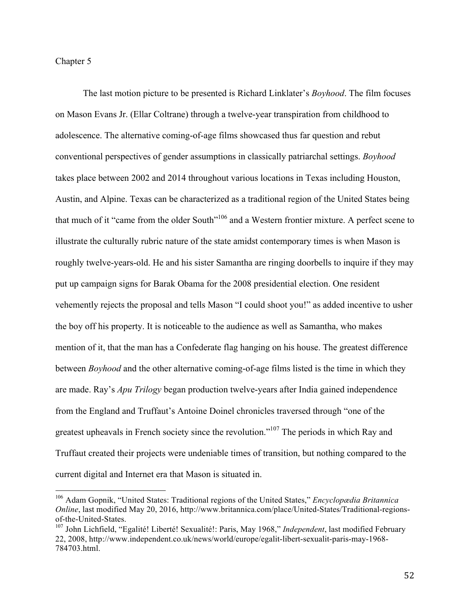## Chapter 5

 

The last motion picture to be presented is Richard Linklater's *Boyhood*. The film focuses on Mason Evans Jr. (Ellar Coltrane) through a twelve-year transpiration from childhood to adolescence. The alternative coming-of-age films showcased thus far question and rebut conventional perspectives of gender assumptions in classically patriarchal settings. *Boyhood* takes place between 2002 and 2014 throughout various locations in Texas including Houston, Austin, and Alpine. Texas can be characterized as a traditional region of the United States being that much of it "came from the older South"106 and a Western frontier mixture. A perfect scene to illustrate the culturally rubric nature of the state amidst contemporary times is when Mason is roughly twelve-years-old. He and his sister Samantha are ringing doorbells to inquire if they may put up campaign signs for Barak Obama for the 2008 presidential election. One resident vehemently rejects the proposal and tells Mason "I could shoot you!" as added incentive to usher the boy off his property. It is noticeable to the audience as well as Samantha, who makes mention of it, that the man has a Confederate flag hanging on his house. The greatest difference between *Boyhood* and the other alternative coming-of-age films listed is the time in which they are made. Ray's *Apu Trilogy* began production twelve-years after India gained independence from the England and Truffaut's Antoine Doinel chronicles traversed through "one of the greatest upheavals in French society since the revolution."<sup>107</sup> The periods in which Ray and Truffaut created their projects were undeniable times of transition, but nothing compared to the current digital and Internet era that Mason is situated in.

<sup>106</sup> Adam Gopnik, "United States: Traditional regions of the United States," *Encyclopædia Britannica Online*, last modified May 20, 2016, http://www.britannica.com/place/United-States/Traditional-regionsof-the-United-States.

<sup>107</sup> John Lichfield, "Egalité! Liberté! Sexualité!: Paris, May 1968," *Independent*, last modified February 22, 2008, http://www.independent.co.uk/news/world/europe/egalit-libert-sexualit-paris-may-1968- 784703.html.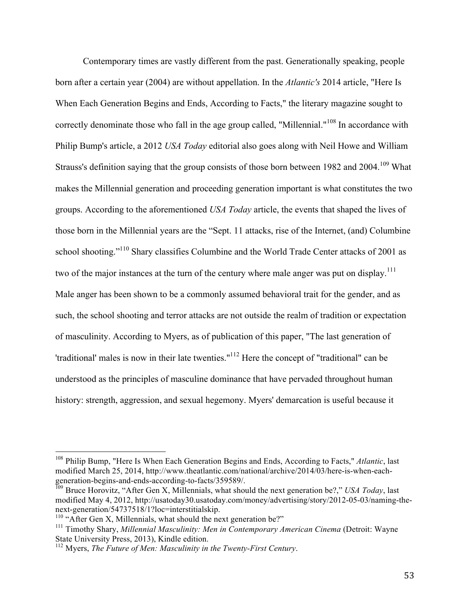Contemporary times are vastly different from the past. Generationally speaking, people born after a certain year (2004) are without appellation. In the *Atlantic's* 2014 article, "Here Is When Each Generation Begins and Ends, According to Facts," the literary magazine sought to correctly denominate those who fall in the age group called, "Millennial."<sup>108</sup> In accordance with Philip Bump's article, a 2012 *USA Today* editorial also goes along with Neil Howe and William Strauss's definition saying that the group consists of those born between 1982 and 2004.<sup>109</sup> What makes the Millennial generation and proceeding generation important is what constitutes the two groups. According to the aforementioned *USA Today* article, the events that shaped the lives of those born in the Millennial years are the "Sept. 11 attacks, rise of the Internet, (and) Columbine school shooting."<sup>110</sup> Shary classifies Columbine and the World Trade Center attacks of 2001 as two of the major instances at the turn of the century where male anger was put on display.<sup>111</sup> Male anger has been shown to be a commonly assumed behavioral trait for the gender, and as such, the school shooting and terror attacks are not outside the realm of tradition or expectation of masculinity. According to Myers, as of publication of this paper, "The last generation of 'traditional' males is now in their late twenties."112 Here the concept of "traditional" can be understood as the principles of masculine dominance that have pervaded throughout human history: strength, aggression, and sexual hegemony. Myers' demarcation is useful because it

<sup>108</sup> Philip Bump, "Here Is When Each Generation Begins and Ends, According to Facts," *Atlantic*, last modified March 25, 2014, http://www.theatlantic.com/national/archive/2014/03/here-is-when-eachgeneration-begins-and-ends-according-to-facts/359589/.

<sup>109</sup> Bruce Horovitz, "After Gen X, Millennials, what should the next generation be?," *USA Today*, last modified May 4, 2012, http://usatoday30.usatoday.com/money/advertising/story/2012-05-03/naming-thenext-generation/54737518/1?loc=interstitialskip.

 $110$  "After Gen X, Millennials, what should the next generation be?"

<sup>&</sup>lt;sup>111</sup> Timothy Shary, *Millennial Masculinity: Men in Contemporary American Cinema* (Detroit: Wayne State University Press, 2013), Kindle edition.

<sup>112</sup> Myers, *The Future of Men: Masculinity in the Twenty-First Century*.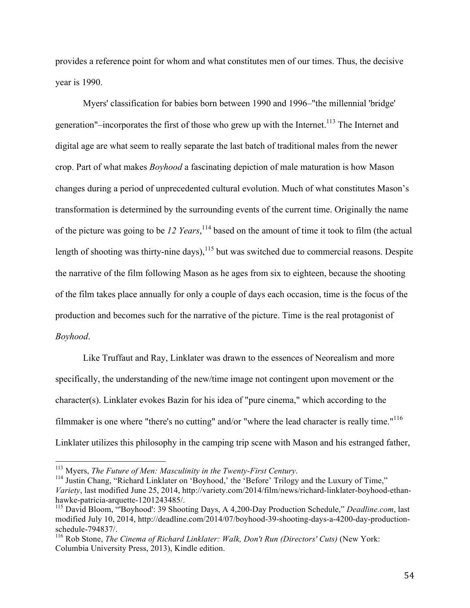provides a reference point for whom and what constitutes men of our times. Thus, the decisive year is 1990.

Myers' classification for babies born between 1990 and 1996–"the millennial 'bridge' generation"–incorporates the first of those who grew up with the Internet.<sup>113</sup> The Internet and digital age are what seem to really separate the last batch of traditional males from the newer crop. Part of what makes *Boyhood* a fascinating depiction of male maturation is how Mason changes during a period of unprecedented cultural evolution. Much of what constitutes Mason's transformation is determined by the surrounding events of the current time. Originally the name of the picture was going to be *12 Years*, <sup>114</sup> based on the amount of time it took to film (the actual length of shooting was thirty-nine days), $115$  but was switched due to commercial reasons. Despite the narrative of the film following Mason as he ages from six to eighteen, because the shooting of the film takes place annually for only a couple of days each occasion, time is the focus of the production and becomes such for the narrative of the picture. Time is the real protagonist of *Boyhood*.

Like Truffaut and Ray, Linklater was drawn to the essences of Neorealism and more specifically, the understanding of the new/time image not contingent upon movement or the character(s). Linklater evokes Bazin for his idea of "pure cinema," which according to the filmmaker is one where "there's no cutting" and/or "where the lead character is really time."<sup>116</sup> Linklater utilizes this philosophy in the camping trip scene with Mason and his estranged father,

<sup>&</sup>lt;sup>113</sup> Myers, The Future of Men: Masculinity in the Twenty-First Century.

<sup>&</sup>lt;sup>114</sup> Justin Chang, "Richard Linklater on 'Boyhood,' the 'Before' Trilogy and the Luxury of Time," *Variety*, last modified June 25, 2014, http://variety.com/2014/film/news/richard-linklater-boyhood-ethanhawke-patricia-arquette-1201243485/.

<sup>115</sup> David Bloom, "'Boyhood': 39 Shooting Days, A 4,200-Day Production Schedule," *Deadline.com*, last modified July 10, 2014, http://deadline.com/2014/07/boyhood-39-shooting-days-a-4200-day-productionschedule-794837/.

<sup>116</sup> Rob Stone, *The Cinema of Richard Linklater: Walk, Don't Run (Directors' Cuts)* (New York: Columbia University Press, 2013), Kindle edition.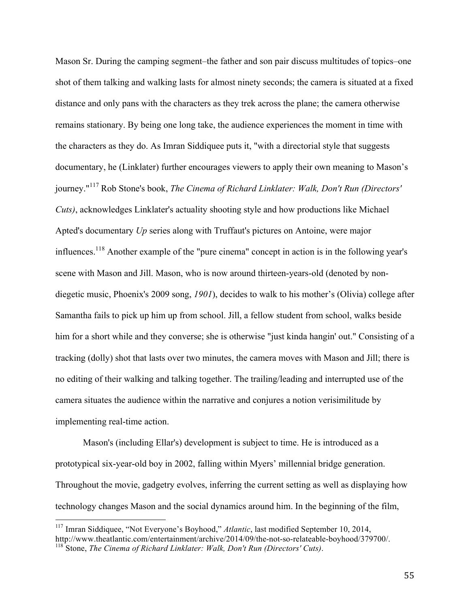Mason Sr. During the camping segment–the father and son pair discuss multitudes of topics–one shot of them talking and walking lasts for almost ninety seconds; the camera is situated at a fixed distance and only pans with the characters as they trek across the plane; the camera otherwise remains stationary. By being one long take, the audience experiences the moment in time with the characters as they do. As Imran Siddiquee puts it, "with a directorial style that suggests documentary, he (Linklater) further encourages viewers to apply their own meaning to Mason's journey."<sup>117</sup> Rob Stone's book, *The Cinema of Richard Linklater: Walk, Don't Run (Directors' Cuts)*, acknowledges Linklater's actuality shooting style and how productions like Michael Apted's documentary *Up* series along with Truffaut's pictures on Antoine, were major influences.<sup>118</sup> Another example of the "pure cinema" concept in action is in the following year's scene with Mason and Jill. Mason, who is now around thirteen-years-old (denoted by nondiegetic music, Phoenix's 2009 song, *1901*), decides to walk to his mother's (Olivia) college after Samantha fails to pick up him up from school. Jill, a fellow student from school, walks beside him for a short while and they converse; she is otherwise "just kinda hangin' out." Consisting of a tracking (dolly) shot that lasts over two minutes, the camera moves with Mason and Jill; there is no editing of their walking and talking together. The trailing/leading and interrupted use of the camera situates the audience within the narrative and conjures a notion verisimilitude by implementing real-time action.

Mason's (including Ellar's) development is subject to time. He is introduced as a prototypical six-year-old boy in 2002, falling within Myers' millennial bridge generation. Throughout the movie, gadgetry evolves, inferring the current setting as well as displaying how technology changes Mason and the social dynamics around him. In the beginning of the film,

<sup>117</sup> Imran Siddiquee, "Not Everyone's Boyhood," *Atlantic*, last modified September 10, 2014, http://www.theatlantic.com/entertainment/archive/2014/09/the-not-so-relateable-boyhood/379700/. <sup>118</sup> Stone, *The Cinema of Richard Linklater: Walk, Don't Run (Directors' Cuts)*.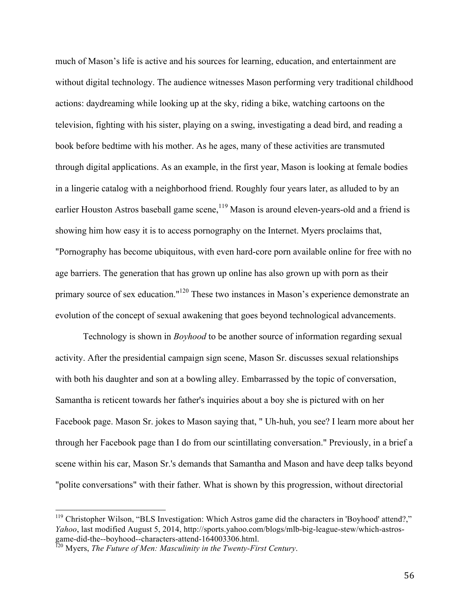much of Mason's life is active and his sources for learning, education, and entertainment are without digital technology. The audience witnesses Mason performing very traditional childhood actions: daydreaming while looking up at the sky, riding a bike, watching cartoons on the television, fighting with his sister, playing on a swing, investigating a dead bird, and reading a book before bedtime with his mother. As he ages, many of these activities are transmuted through digital applications. As an example, in the first year, Mason is looking at female bodies in a lingerie catalog with a neighborhood friend. Roughly four years later, as alluded to by an earlier Houston Astros baseball game scene, <sup>119</sup> Mason is around eleven-years-old and a friend is showing him how easy it is to access pornography on the Internet. Myers proclaims that, "Pornography has become ubiquitous, with even hard-core porn available online for free with no age barriers. The generation that has grown up online has also grown up with porn as their primary source of sex education."<sup>120</sup> These two instances in Mason's experience demonstrate an evolution of the concept of sexual awakening that goes beyond technological advancements.

Technology is shown in *Boyhood* to be another source of information regarding sexual activity. After the presidential campaign sign scene, Mason Sr. discusses sexual relationships with both his daughter and son at a bowling alley. Embarrassed by the topic of conversation, Samantha is reticent towards her father's inquiries about a boy she is pictured with on her Facebook page. Mason Sr. jokes to Mason saying that, " Uh-huh, you see? I learn more about her through her Facebook page than I do from our scintillating conversation." Previously, in a brief a scene within his car, Mason Sr.'s demands that Samantha and Mason and have deep talks beyond "polite conversations" with their father. What is shown by this progression, without directorial

<sup>&</sup>lt;sup>119</sup> Christopher Wilson, "BLS Investigation: Which Astros game did the characters in 'Boyhood' attend?," *Yahoo*, last modified August 5, 2014, http://sports.yahoo.com/blogs/mlb-big-league-stew/which-astrosgame-did-the--boyhood--characters-attend-164003306.html.

<sup>&</sup>lt;sup>120</sup> Myers, *The Future of Men: Masculinity in the Twenty-First Century*.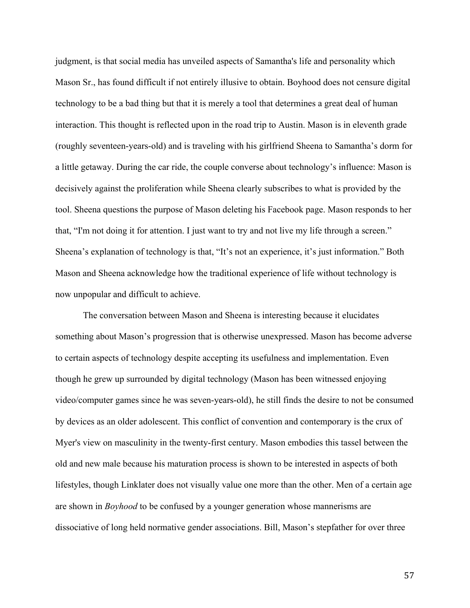judgment, is that social media has unveiled aspects of Samantha's life and personality which Mason Sr., has found difficult if not entirely illusive to obtain. Boyhood does not censure digital technology to be a bad thing but that it is merely a tool that determines a great deal of human interaction. This thought is reflected upon in the road trip to Austin. Mason is in eleventh grade (roughly seventeen-years-old) and is traveling with his girlfriend Sheena to Samantha's dorm for a little getaway. During the car ride, the couple converse about technology's influence: Mason is decisively against the proliferation while Sheena clearly subscribes to what is provided by the tool. Sheena questions the purpose of Mason deleting his Facebook page. Mason responds to her that, "I'm not doing it for attention. I just want to try and not live my life through a screen." Sheena's explanation of technology is that, "It's not an experience, it's just information." Both Mason and Sheena acknowledge how the traditional experience of life without technology is now unpopular and difficult to achieve.

The conversation between Mason and Sheena is interesting because it elucidates something about Mason's progression that is otherwise unexpressed. Mason has become adverse to certain aspects of technology despite accepting its usefulness and implementation. Even though he grew up surrounded by digital technology (Mason has been witnessed enjoying video/computer games since he was seven-years-old), he still finds the desire to not be consumed by devices as an older adolescent. This conflict of convention and contemporary is the crux of Myer's view on masculinity in the twenty-first century. Mason embodies this tassel between the old and new male because his maturation process is shown to be interested in aspects of both lifestyles, though Linklater does not visually value one more than the other. Men of a certain age are shown in *Boyhood* to be confused by a younger generation whose mannerisms are dissociative of long held normative gender associations. Bill, Mason's stepfather for over three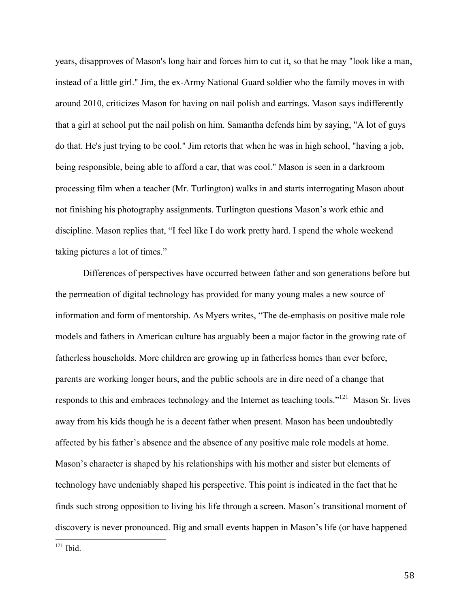years, disapproves of Mason's long hair and forces him to cut it, so that he may "look like a man, instead of a little girl." Jim, the ex-Army National Guard soldier who the family moves in with around 2010, criticizes Mason for having on nail polish and earrings. Mason says indifferently that a girl at school put the nail polish on him. Samantha defends him by saying, "A lot of guys do that. He's just trying to be cool." Jim retorts that when he was in high school, "having a job, being responsible, being able to afford a car, that was cool." Mason is seen in a darkroom processing film when a teacher (Mr. Turlington) walks in and starts interrogating Mason about not finishing his photography assignments. Turlington questions Mason's work ethic and discipline. Mason replies that, "I feel like I do work pretty hard. I spend the whole weekend taking pictures a lot of times."

Differences of perspectives have occurred between father and son generations before but the permeation of digital technology has provided for many young males a new source of information and form of mentorship. As Myers writes, "The de-emphasis on positive male role models and fathers in American culture has arguably been a major factor in the growing rate of fatherless households. More children are growing up in fatherless homes than ever before, parents are working longer hours, and the public schools are in dire need of a change that responds to this and embraces technology and the Internet as teaching tools."<sup>121</sup> Mason Sr. lives away from his kids though he is a decent father when present. Mason has been undoubtedly affected by his father's absence and the absence of any positive male role models at home. Mason's character is shaped by his relationships with his mother and sister but elements of technology have undeniably shaped his perspective. This point is indicated in the fact that he finds such strong opposition to living his life through a screen. Mason's transitional moment of discovery is never pronounced. Big and small events happen in Mason's life (or have happened

 $121$  Ibid.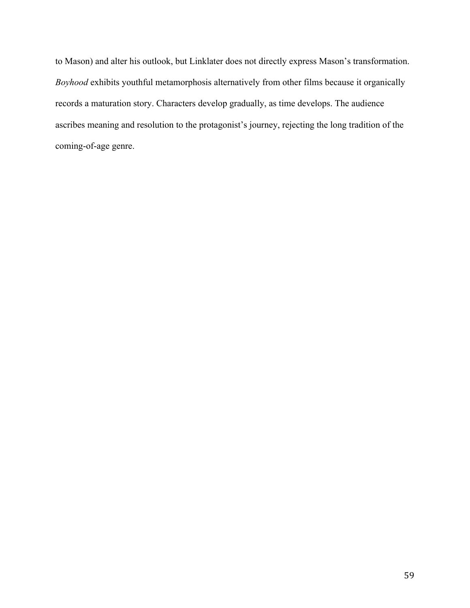to Mason) and alter his outlook, but Linklater does not directly express Mason's transformation. *Boyhood* exhibits youthful metamorphosis alternatively from other films because it organically records a maturation story. Characters develop gradually, as time develops. The audience ascribes meaning and resolution to the protagonist's journey, rejecting the long tradition of the coming-of-age genre.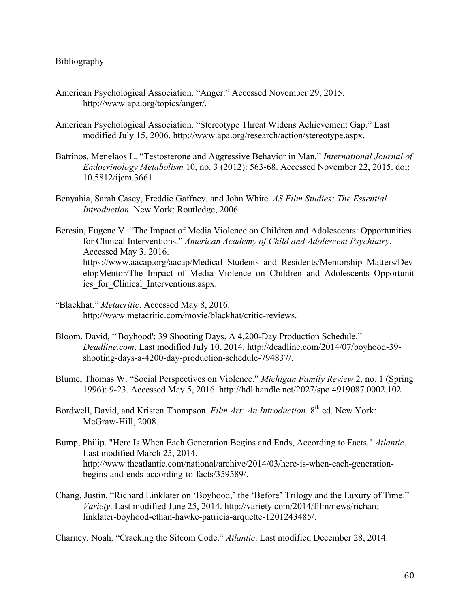## Bibliography

- American Psychological Association. "Anger." Accessed November 29, 2015. http://www.apa.org/topics/anger/.
- American Psychological Association. "Stereotype Threat Widens Achievement Gap." Last modified July 15, 2006. http://www.apa.org/research/action/stereotype.aspx.
- Batrinos, Menelaos L. "Testosterone and Aggressive Behavior in Man," *International Journal of Endocrinology Metabolism* 10, no. 3 (2012): 563-68. Accessed November 22, 2015. doi: 10.5812/ijem.3661.
- Benyahia, Sarah Casey, Freddie Gaffney, and John White. *AS Film Studies: The Essential Introduction*. New York: Routledge, 2006.
- Beresin, Eugene V. "The Impact of Media Violence on Children and Adolescents: Opportunities for Clinical Interventions." *American Academy of Child and Adolescent Psychiatry*. Accessed May 3, 2016. https://www.aacap.org/aacap/Medical Students and Residents/Mentorship Matters/Dev elopMentor/The\_Impact\_of\_Media\_Violence\_on\_Children\_and\_Adolescents\_Opportunit ies for Clinical Interventions.aspx.
- "Blackhat." *Metacritic*. Accessed May 8, 2016. http://www.metacritic.com/movie/blackhat/critic-reviews.
- Bloom, David, "'Boyhood': 39 Shooting Days, A 4,200-Day Production Schedule." *Deadline.com*. Last modified July 10, 2014. http://deadline.com/2014/07/boyhood-39 shooting-days-a-4200-day-production-schedule-794837/.
- Blume, Thomas W. "Social Perspectives on Violence." *Michigan Family Review* 2, no. 1 (Spring 1996): 9-23. Accessed May 5, 2016. http://hdl.handle.net/2027/spo.4919087.0002.102.
- Bordwell, David, and Kristen Thompson. *Film Art: An Introduction*. 8<sup>th</sup> ed. New York: McGraw-Hill, 2008.
- Bump, Philip. "Here Is When Each Generation Begins and Ends, According to Facts." *Atlantic*. Last modified March 25, 2014. http://www.theatlantic.com/national/archive/2014/03/here-is-when-each-generationbegins-and-ends-according-to-facts/359589/.
- Chang, Justin. "Richard Linklater on 'Boyhood,' the 'Before' Trilogy and the Luxury of Time." *Variety*. Last modified June 25, 2014. http://variety.com/2014/film/news/richardlinklater-boyhood-ethan-hawke-patricia-arquette-1201243485/.

Charney, Noah. "Cracking the Sitcom Code." *Atlantic*. Last modified December 28, 2014.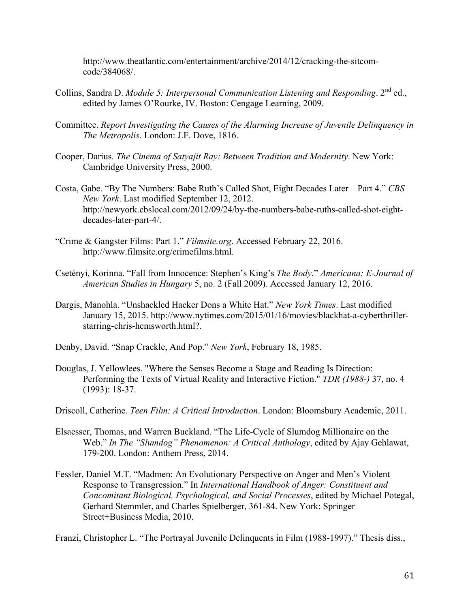http://www.theatlantic.com/entertainment/archive/2014/12/cracking-the-sitcomcode/384068/.

- Collins, Sandra D. *Module 5: Interpersonal Communication Listening and Responding*. 2<sup>nd</sup> ed., edited by James O'Rourke, IV. Boston: Cengage Learning, 2009.
- Committee. *Report Investigating the Causes of the Alarming Increase of Juvenile Delinquency in The Metropolis*. London: J.F. Dove, 1816.
- Cooper, Darius. *The Cinema of Satyajit Ray: Between Tradition and Modernity*. New York: Cambridge University Press, 2000.
- Costa, Gabe. "By The Numbers: Babe Ruth's Called Shot, Eight Decades Later Part 4." *CBS New York*. Last modified September 12, 2012. http://newyork.cbslocal.com/2012/09/24/by-the-numbers-babe-ruths-called-shot-eightdecades-later-part-4/.
- "Crime & Gangster Films: Part 1." *Filmsite.org*. Accessed February 22, 2016. http://www.filmsite.org/crimefilms.html.
- Csetényi, Korinna. "Fall from Innocence: Stephen's King's *The Body*." *Americana: E-Journal of American Studies in Hungary* 5, no. 2 (Fall 2009). Accessed January 12, 2016.
- Dargis, Manohla. "Unshackled Hacker Dons a White Hat." *New York Times*. Last modified January 15, 2015. http://www.nytimes.com/2015/01/16/movies/blackhat-a-cyberthrillerstarring-chris-hemsworth.html?.
- Denby, David. "Snap Crackle, And Pop." *New York*, February 18, 1985.
- Douglas, J. Yellowlees. "Where the Senses Become a Stage and Reading Is Direction: Performing the Texts of Virtual Reality and Interactive Fiction." *TDR (1988-)* 37, no. 4 (1993): 18-37.
- Driscoll, Catherine. *Teen Film: A Critical Introduction*. London: Bloomsbury Academic, 2011.
- Elsaesser, Thomas, and Warren Buckland. "The Life-Cycle of Slumdog Millionaire on the Web." *In The "Slumdog" Phenomenon: A Critical Anthology*, edited by Ajay Gehlawat, 179-200. London: Anthem Press, 2014.
- Fessler, Daniel M.T. "Madmen: An Evolutionary Perspective on Anger and Men's Violent Response to Transgression." In *International Handbook of Anger: Constituent and Concomitant Biological, Psychological, and Social Processes*, edited by Michael Potegal, Gerhard Stemmler, and Charles Spielberger, 361-84. New York: Springer Street+Business Media, 2010.

Franzi, Christopher L. "The Portrayal Juvenile Delinquents in Film (1988-1997)." Thesis diss.,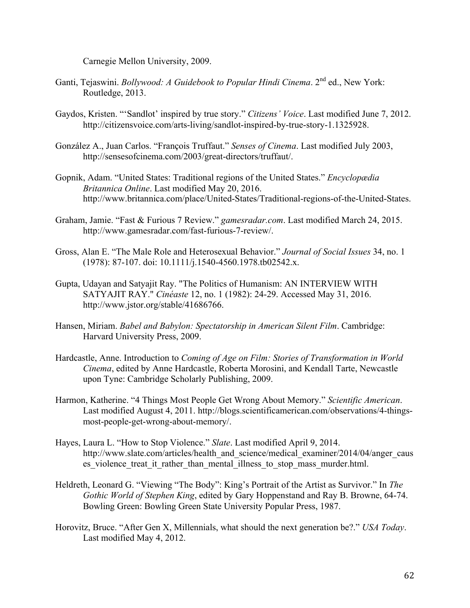Carnegie Mellon University, 2009.

- Ganti, Tejaswini. *Bollywood: A Guidebook to Popular Hindi Cinema*. 2<sup>nd</sup> ed., New York: Routledge, 2013.
- Gaydos, Kristen. "'Sandlot' inspired by true story." *Citizens' Voice*. Last modified June 7, 2012. http://citizensvoice.com/arts-living/sandlot-inspired-by-true-story-1.1325928.
- González A., Juan Carlos. "François Truffaut." *Senses of Cinema*. Last modified July 2003, http://sensesofcinema.com/2003/great-directors/truffaut/.
- Gopnik, Adam. "United States: Traditional regions of the United States." *Encyclopædia Britannica Online*. Last modified May 20, 2016. http://www.britannica.com/place/United-States/Traditional-regions-of-the-United-States.
- Graham, Jamie. "Fast & Furious 7 Review." *gamesradar.com*. Last modified March 24, 2015. http://www.gamesradar.com/fast-furious-7-review/.
- Gross, Alan E. "The Male Role and Heterosexual Behavior." *Journal of Social Issues* 34, no. 1 (1978): 87-107. doi: 10.1111/j.1540-4560.1978.tb02542.x.
- Gupta, Udayan and Satyajit Ray. "The Politics of Humanism: AN INTERVIEW WITH SATYAJIT RAY." *Cinéaste* 12, no. 1 (1982): 24-29. Accessed May 31, 2016. http://www.jstor.org/stable/41686766.
- Hansen, Miriam. *Babel and Babylon: Spectatorship in American Silent Film*. Cambridge: Harvard University Press, 2009.
- Hardcastle, Anne. Introduction to *Coming of Age on Film: Stories of Transformation in World Cinema*, edited by Anne Hardcastle, Roberta Morosini, and Kendall Tarte, Newcastle upon Tyne: Cambridge Scholarly Publishing, 2009.
- Harmon, Katherine. "4 Things Most People Get Wrong About Memory." *Scientific American*. Last modified August 4, 2011. http://blogs.scientificamerican.com/observations/4-thingsmost-people-get-wrong-about-memory/.
- Hayes, Laura L. "How to Stop Violence." *Slate*. Last modified April 9, 2014. http://www.slate.com/articles/health\_and\_science/medical\_examiner/2014/04/anger\_caus es violence treat it rather than mental illness to stop mass murder.html.
- Heldreth, Leonard G. "Viewing "The Body": King's Portrait of the Artist as Survivor." In *The Gothic World of Stephen King*, edited by Gary Hoppenstand and Ray B. Browne, 64-74. Bowling Green: Bowling Green State University Popular Press, 1987.
- Horovitz, Bruce. "After Gen X, Millennials, what should the next generation be?." *USA Today*. Last modified May 4, 2012.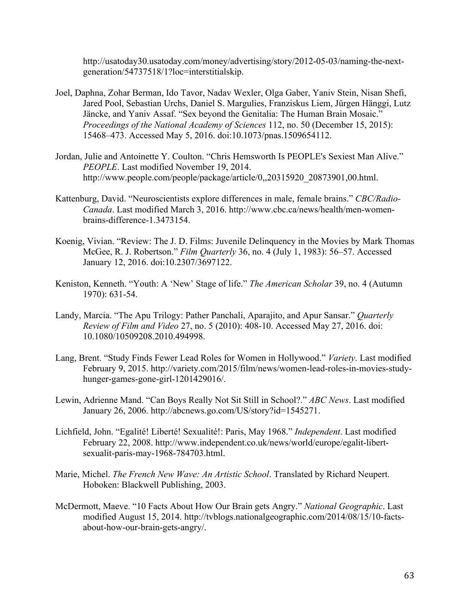http://usatoday30.usatoday.com/money/advertising/story/2012-05-03/naming-the-nextgeneration/54737518/1?loc=interstitialskip.

- Joel, Daphna, Zohar Berman, Ido Tavor, Nadav Wexler, Olga Gaber, Yaniv Stein, Nisan Shefi, Jared Pool, Sebastian Urchs, Daniel S. Margulies, Franziskus Liem, Jürgen Hänggi, Lutz Jäncke, and Yaniv Assaf. "Sex beyond the Genitalia: The Human Brain Mosaic." *Proceedings of the National Academy of Sciences* 112, no. 50 (December 15, 2015): 15468–473. Accessed May 5, 2016. doi:10.1073/pnas.1509654112.
- Jordan, Julie and Antoinette Y. Coulton. "Chris Hemsworth Is PEOPLE's Sexiest Man Alive." *PEOPLE*. Last modified November 19, 2014. http://www.people.com/people/package/article/0,,20315920\_20873901,00.html.
- Kattenburg, David. "Neuroscientists explore differences in male, female brains." *CBC/Radio-Canada*. Last modified March 3, 2016. http://www.cbc.ca/news/health/men-womenbrains-difference-1.3473154.
- Koenig, Vivian. "Review: The J. D. Films: Juvenile Delinquency in the Movies by Mark Thomas McGee, R. J. Robertson." *Film Quarterly* 36, no. 4 (July 1, 1983): 56–57. Accessed January 12, 2016. doi:10.2307/3697122.
- Keniston, Kenneth. "Youth: A 'New' Stage of life." *The American Scholar* 39, no. 4 (Autumn 1970): 631-54.
- Landy, Marcia. "The Apu Trilogy: Pather Panchali, Aparajito, and Apur Sansar." *Quarterly Review of Film and Video* 27, no. 5 (2010): 408-10. Accessed May 27, 2016. doi: 10.1080/10509208.2010.494998.
- Lang, Brent. "Study Finds Fewer Lead Roles for Women in Hollywood." *Variety*. Last modified February 9, 2015. http://variety.com/2015/film/news/women-lead-roles-in-movies-studyhunger-games-gone-girl-1201429016/.
- Lewin, Adrienne Mand. "Can Boys Really Not Sit Still in School?." *ABC News*. Last modified January 26, 2006. http://abcnews.go.com/US/story?id=1545271.
- Lichfield, John. "Egalité! Liberté! Sexualité!: Paris, May 1968." *Independent*. Last modified February 22, 2008. http://www.independent.co.uk/news/world/europe/egalit-libertsexualit-paris-may-1968-784703.html.
- Marie, Michel. *The French New Wave: An Artistic School*. Translated by Richard Neupert. Hoboken: Blackwell Publishing, 2003.
- McDermott, Maeve. "10 Facts About How Our Brain gets Angry." *National Geographic*. Last modified August 15, 2014. http://tvblogs.nationalgeographic.com/2014/08/15/10-factsabout-how-our-brain-gets-angry/.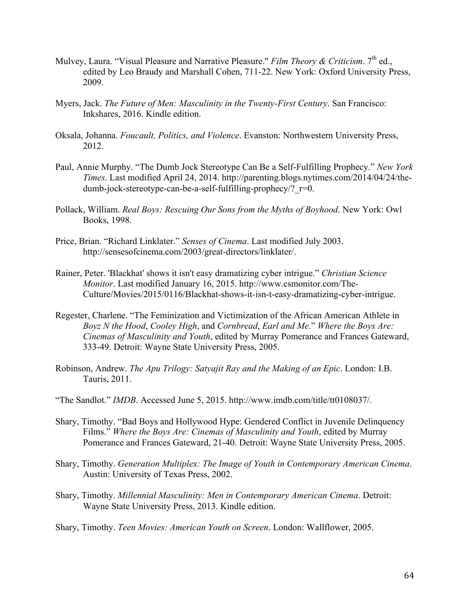- Mulvey, Laura. "Visual Pleasure and Narrative Pleasure." *Film Theory & Criticism*. 7<sup>th</sup> ed., edited by Leo Braudy and Marshall Cohen, 711-22. New York: Oxford University Press, 2009.
- Myers, Jack. *The Future of Men: Masculinity in the Twenty-First Century*. San Francisco: Inkshares, 2016. Kindle edition.
- Oksala, Johanna. *Foucault, Politics, and Violence*. Evanston: Northwestern University Press, 2012.
- Paul, Annie Murphy. "The Dumb Jock Stereotype Can Be a Self-Fulfilling Prophecy." *New York Times*. Last modified April 24, 2014. http://parenting.blogs.nytimes.com/2014/04/24/thedumb-jock-stereotype-can-be-a-self-fulfilling-prophecy/? r=0.
- Pollack, William. *Real Boys: Rescuing Our Sons from the Myths of Boyhood*. New York: Owl Books, 1998.
- Price, Brian. "Richard Linklater." *Senses of Cinema*. Last modified July 2003. http://sensesofcinema.com/2003/great-directors/linklater/.
- Rainer, Peter. 'Blackhat' shows it isn't easy dramatizing cyber intrigue." *Christian Science Monitor*. Last modified January 16, 2015. http://www.csmonitor.com/The-Culture/Movies/2015/0116/Blackhat-shows-it-isn-t-easy-dramatizing-cyber-intrigue.
- Regester, Charlene. "The Feminization and Victimization of the African American Athlete in *Boyz N the Hood*, *Cooley High*, and *Cornbread*, *Earl and Me*." *Where the Boys Are: Cinemas of Masculinity and Youth*, edited by Murray Pomerance and Frances Gateward, 333-49. Detroit: Wayne State University Press, 2005.
- Robinson, Andrew. *The Apu Trilogy: Satyajit Ray and the Making of an Epic*. London: I.B. Tauris, 2011.
- "The Sandlot." *IMDB*. Accessed June 5, 2015. http://www.imdb.com/title/tt0108037/.
- Shary, Timothy. "Bad Boys and Hollywood Hype: Gendered Conflict in Juvenile Delinquency Films." *Where the Boys Are: Cinemas of Masculinity and Youth*, edited by Murray Pomerance and Frances Gateward, 21-40. Detroit: Wayne State University Press, 2005.
- Shary, Timothy. *Generation Multiplex: The Image of Youth in Contemporary American Cinema*. Austin: University of Texas Press, 2002.
- Shary, Timothy. *Millennial Masculinity: Men in Contemporary American Cinema*. Detroit: Wayne State University Press, 2013. Kindle edition.
- Shary, Timothy. *Teen Movies: American Youth on Screen*. London: Wallflower, 2005.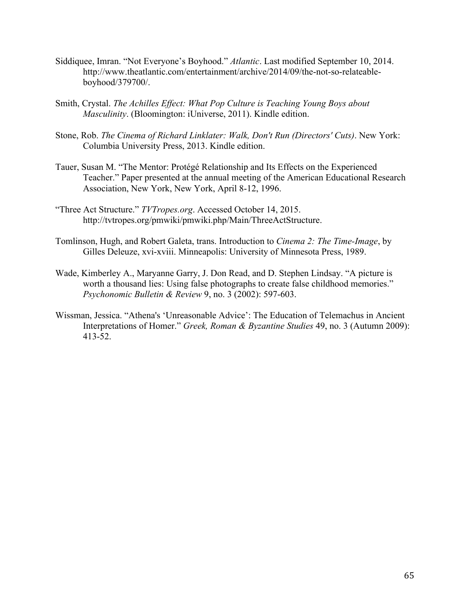- Siddiquee, Imran. "Not Everyone's Boyhood." *Atlantic*. Last modified September 10, 2014. http://www.theatlantic.com/entertainment/archive/2014/09/the-not-so-relateableboyhood/379700/.
- Smith, Crystal. *The Achilles Effect: What Pop Culture is Teaching Young Boys about Masculinity*. (Bloomington: iUniverse, 2011). Kindle edition.
- Stone, Rob. *The Cinema of Richard Linklater: Walk, Don't Run (Directors' Cuts)*. New York: Columbia University Press, 2013. Kindle edition.
- Tauer, Susan M. "The Mentor: Protégé Relationship and Its Effects on the Experienced Teacher." Paper presented at the annual meeting of the American Educational Research Association, New York, New York, April 8-12, 1996.
- "Three Act Structure." *TVTropes.org*. Accessed October 14, 2015. http://tvtropes.org/pmwiki/pmwiki.php/Main/ThreeActStructure.
- Tomlinson, Hugh, and Robert Galeta, trans. Introduction to *Cinema 2: The Time-Image*, by Gilles Deleuze, xvi-xviii. Minneapolis: University of Minnesota Press, 1989.
- Wade, Kimberley A., Maryanne Garry, J. Don Read, and D. Stephen Lindsay. "A picture is worth a thousand lies: Using false photographs to create false childhood memories." *Psychonomic Bulletin & Review* 9, no. 3 (2002): 597-603.
- Wissman, Jessica. "Athena's 'Unreasonable Advice': The Education of Telemachus in Ancient Interpretations of Homer." *Greek, Roman & Byzantine Studies* 49, no. 3 (Autumn 2009): 413-52.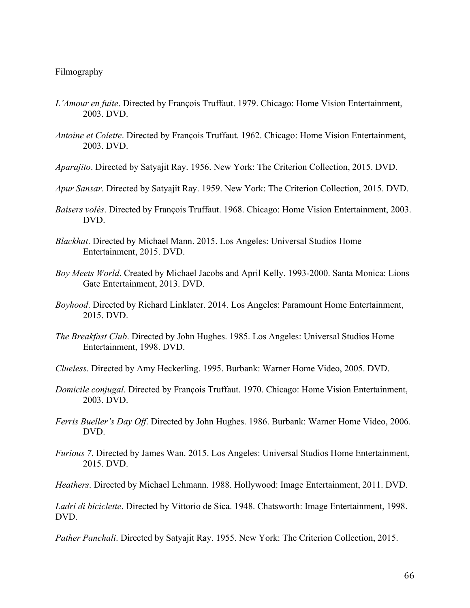## Filmography

- *L'Amour en fuite*. Directed by François Truffaut. 1979. Chicago: Home Vision Entertainment, 2003. DVD.
- *Antoine et Colette*. Directed by François Truffaut. 1962. Chicago: Home Vision Entertainment, 2003. DVD.
- *Aparajito*. Directed by Satyajit Ray. 1956. New York: The Criterion Collection, 2015. DVD.
- *Apur Sansar*. Directed by Satyajit Ray. 1959. New York: The Criterion Collection, 2015. DVD.
- *Baisers volés*. Directed by François Truffaut. 1968. Chicago: Home Vision Entertainment, 2003. DVD.
- *Blackhat*. Directed by Michael Mann. 2015. Los Angeles: Universal Studios Home Entertainment, 2015. DVD.
- *Boy Meets World*. Created by Michael Jacobs and April Kelly. 1993-2000. Santa Monica: Lions Gate Entertainment, 2013. DVD.
- *Boyhood*. Directed by Richard Linklater. 2014. Los Angeles: Paramount Home Entertainment, 2015. DVD.
- *The Breakfast Club*. Directed by John Hughes. 1985. Los Angeles: Universal Studios Home Entertainment, 1998. DVD.
- *Clueless*. Directed by Amy Heckerling. 1995. Burbank: Warner Home Video, 2005. DVD.
- *Domicile conjugal*. Directed by François Truffaut. 1970. Chicago: Home Vision Entertainment, 2003. DVD.
- *Ferris Bueller's Day Off*. Directed by John Hughes. 1986. Burbank: Warner Home Video, 2006. DVD.
- *Furious 7*. Directed by James Wan. 2015. Los Angeles: Universal Studios Home Entertainment, 2015. DVD.
- *Heathers*. Directed by Michael Lehmann. 1988. Hollywood: Image Entertainment, 2011. DVD.

*Ladri di biciclette*. Directed by Vittorio de Sica. 1948. Chatsworth: Image Entertainment, 1998. DVD.

*Pather Panchali*. Directed by Satyajit Ray. 1955. New York: The Criterion Collection, 2015.